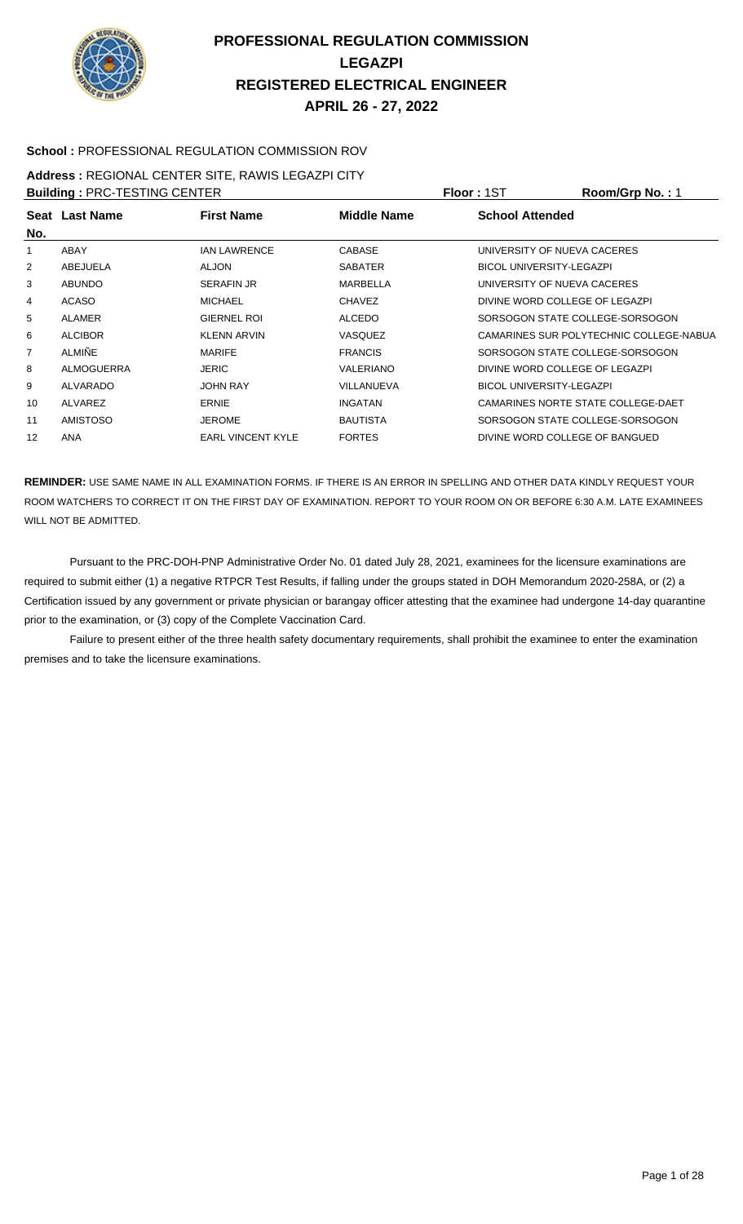

#### **School :** PROFESSIONAL REGULATION COMMISSION ROV

#### **Address :** REGIONAL CENTER SITE, RAWIS LEGAZPI CITY

| <b>Building: PRC-TESTING CENTER</b> |                 |                          |                    | Floor: 1ST                      | Room/Grp No.: 1                         |
|-------------------------------------|-----------------|--------------------------|--------------------|---------------------------------|-----------------------------------------|
| No.                                 | Seat Last Name  | <b>First Name</b>        | <b>Middle Name</b> | <b>School Attended</b>          |                                         |
|                                     | ABAY            | <b>IAN LAWRENCE</b>      | <b>CABASE</b>      | UNIVERSITY OF NUEVA CACERES     |                                         |
| 2                                   | ABEJUELA        | <b>ALJON</b>             | <b>SABATER</b>     | <b>BICOL UNIVERSITY-LEGAZPI</b> |                                         |
| 3                                   | <b>ABUNDO</b>   | <b>SERAFIN JR</b>        | MARBELLA           | UNIVERSITY OF NUEVA CACERES     |                                         |
| 4                                   | <b>ACASO</b>    | <b>MICHAEL</b>           | <b>CHAVEZ</b>      | DIVINE WORD COLLEGE OF LEGAZPI  |                                         |
| 5                                   | <b>ALAMER</b>   | <b>GIERNEL ROI</b>       | <b>ALCEDO</b>      |                                 | SORSOGON STATE COLLEGE-SORSOGON         |
| 6                                   | <b>ALCIBOR</b>  | KLENN ARVIN              | <b>VASQUEZ</b>     |                                 | CAMARINES SUR POLYTECHNIC COLLEGE-NABUA |
| 7                                   | <b>ALMIÑE</b>   | <b>MARIFE</b>            | <b>FRANCIS</b>     |                                 | SORSOGON STATE COLLEGE-SORSOGON         |
| 8                                   | ALMOGUERRA      | <b>JERIC</b>             | VALERIANO          | DIVINE WORD COLLEGE OF LEGAZPI  |                                         |
| 9                                   | ALVARADO        | <b>JOHN RAY</b>          | VILLANUEVA         | <b>BICOL UNIVERSITY-LEGAZPI</b> |                                         |
| 10                                  | ALVAREZ         | <b>ERNIE</b>             | <b>INGATAN</b>     |                                 | CAMARINES NORTE STATE COLLEGE-DAET      |
| 11                                  | <b>AMISTOSO</b> | <b>JEROME</b>            | <b>BAUTISTA</b>    |                                 | SORSOGON STATE COLLEGE-SORSOGON         |
| 12                                  | <b>ANA</b>      | <b>EARL VINCENT KYLE</b> | <b>FORTES</b>      | DIVINE WORD COLLEGE OF BANGUED  |                                         |

**REMINDER:** USE SAME NAME IN ALL EXAMINATION FORMS. IF THERE IS AN ERROR IN SPELLING AND OTHER DATA KINDLY REQUEST YOUR ROOM WATCHERS TO CORRECT IT ON THE FIRST DAY OF EXAMINATION. REPORT TO YOUR ROOM ON OR BEFORE 6:30 A.M. LATE EXAMINEES WILL NOT BE ADMITTED.

 Pursuant to the PRC-DOH-PNP Administrative Order No. 01 dated July 28, 2021, examinees for the licensure examinations are required to submit either (1) a negative RTPCR Test Results, if falling under the groups stated in DOH Memorandum 2020-258A, or (2) a Certification issued by any government or private physician or barangay officer attesting that the examinee had undergone 14-day quarantine prior to the examination, or (3) copy of the Complete Vaccination Card.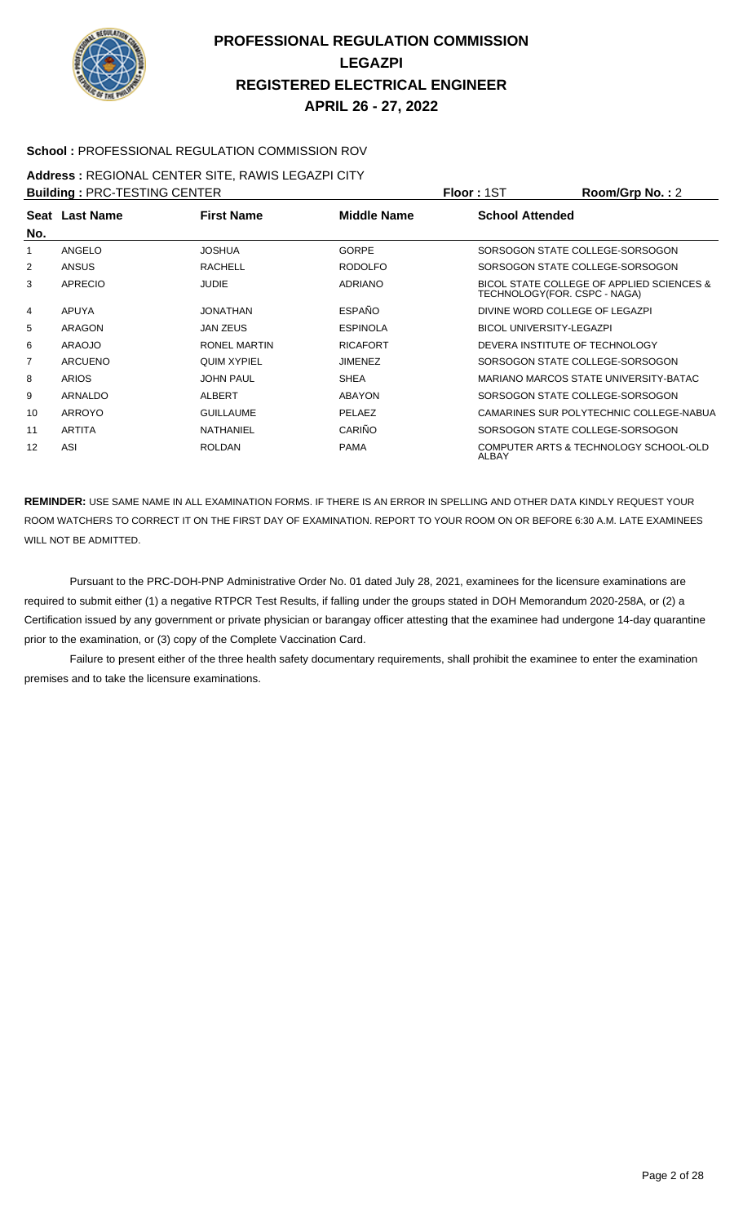

#### **School :** PROFESSIONAL REGULATION COMMISSION ROV

#### **Address :** REGIONAL CENTER SITE, RAWIS LEGAZPI CITY

| <b>Building: PRC-TESTING CENTER</b> |                |                    |                 | <b>Floor: 1ST</b>      | Room/Grp No.: 2                                                           |
|-------------------------------------|----------------|--------------------|-----------------|------------------------|---------------------------------------------------------------------------|
|                                     | Seat Last Name | <b>First Name</b>  | Middle Name     | <b>School Attended</b> |                                                                           |
| No.                                 |                |                    |                 |                        |                                                                           |
|                                     | <b>ANGELO</b>  | <b>JOSHUA</b>      | <b>GORPE</b>    |                        | SORSOGON STATE COLLEGE-SORSOGON                                           |
| 2                                   | ANSUS          | <b>RACHELL</b>     | <b>RODOLFO</b>  |                        | SORSOGON STATE COLLEGE-SORSOGON                                           |
| 3                                   | <b>APRECIO</b> | <b>JUDIE</b>       | <b>ADRIANO</b>  |                        | BICOL STATE COLLEGE OF APPLIED SCIENCES &<br>TECHNOLOGY(FOR. CSPC - NAGA) |
| 4                                   | <b>APUYA</b>   | <b>JONATHAN</b>    | <b>ESPAÑO</b>   |                        | DIVINE WORD COLLEGE OF LEGAZPI                                            |
| 5                                   | <b>ARAGON</b>  | <b>JAN ZEUS</b>    | <b>ESPINOLA</b> |                        | <b>BICOL UNIVERSITY-LEGAZPI</b>                                           |
| 6                                   | <b>ARAOJO</b>  | RONEL MARTIN       | <b>RICAFORT</b> |                        | DEVERA INSTITUTE OF TECHNOLOGY                                            |
|                                     | <b>ARCUENO</b> | <b>QUIM XYPIEL</b> | <b>JIMENEZ</b>  |                        | SORSOGON STATE COLLEGE-SORSOGON                                           |
| 8                                   | <b>ARIOS</b>   | <b>JOHN PAUL</b>   | <b>SHEA</b>     |                        | MARIANO MARCOS STATE UNIVERSITY-BATAC                                     |
| 9                                   | ARNALDO        | ALBERT             | <b>ABAYON</b>   |                        | SORSOGON STATE COLLEGE-SORSOGON                                           |
| 10                                  | ARROYO         | <b>GUILLAUME</b>   | PELAEZ          |                        | CAMARINES SUR POLYTECHNIC COLLEGE-NABUA                                   |
| 11                                  | ARTITA         | <b>NATHANIEL</b>   | CARIÑO          |                        | SORSOGON STATE COLLEGE-SORSOGON                                           |
| 12                                  | ASI            | <b>ROLDAN</b>      | <b>PAMA</b>     | ALBAY                  | COMPUTER ARTS & TECHNOLOGY SCHOOL-OLD                                     |

**REMINDER:** USE SAME NAME IN ALL EXAMINATION FORMS. IF THERE IS AN ERROR IN SPELLING AND OTHER DATA KINDLY REQUEST YOUR ROOM WATCHERS TO CORRECT IT ON THE FIRST DAY OF EXAMINATION. REPORT TO YOUR ROOM ON OR BEFORE 6:30 A.M. LATE EXAMINEES WILL NOT BE ADMITTED.

 Pursuant to the PRC-DOH-PNP Administrative Order No. 01 dated July 28, 2021, examinees for the licensure examinations are required to submit either (1) a negative RTPCR Test Results, if falling under the groups stated in DOH Memorandum 2020-258A, or (2) a Certification issued by any government or private physician or barangay officer attesting that the examinee had undergone 14-day quarantine prior to the examination, or (3) copy of the Complete Vaccination Card.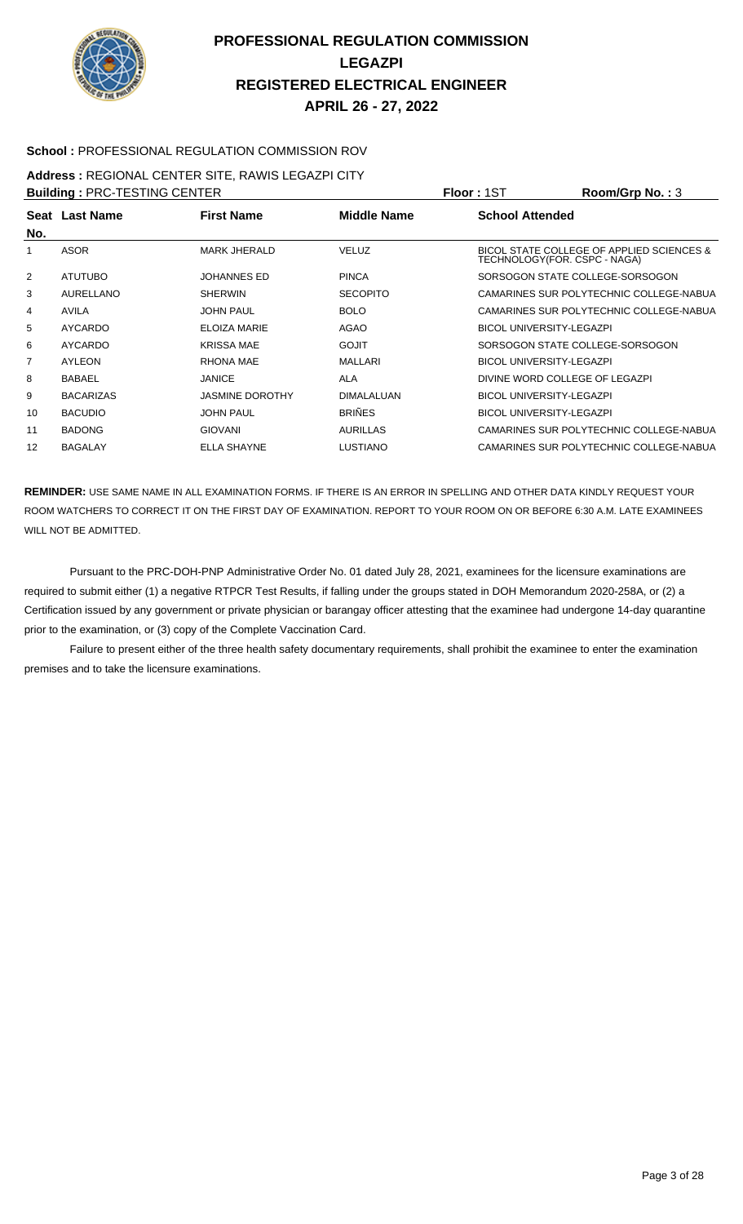

#### **School :** PROFESSIONAL REGULATION COMMISSION ROV

#### **Address :** REGIONAL CENTER SITE, RAWIS LEGAZPI CITY

| <b>Building: PRC-TESTING CENTER</b> |                  |                        |                   | <b>Floor: 1ST</b>               | Room/Grp No.: 3                           |
|-------------------------------------|------------------|------------------------|-------------------|---------------------------------|-------------------------------------------|
| No.                                 | Seat Last Name   | <b>First Name</b>      | Middle Name       | <b>School Attended</b>          |                                           |
|                                     | <b>ASOR</b>      | <b>MARK JHERALD</b>    | <b>VELUZ</b>      | TECHNOLOGY(FOR. CSPC - NAGA)    | BICOL STATE COLLEGE OF APPLIED SCIENCES & |
| 2                                   | <b>ATUTUBO</b>   | <b>JOHANNES ED</b>     | <b>PINCA</b>      |                                 | SORSOGON STATE COLLEGE-SORSOGON           |
| 3                                   | AURELLANO        | <b>SHERWIN</b>         | <b>SECOPITO</b>   |                                 | CAMARINES SUR POLYTECHNIC COLLEGE-NABUA   |
| 4                                   | <b>AVILA</b>     | <b>JOHN PAUL</b>       | <b>BOLO</b>       |                                 | CAMARINES SUR POLYTECHNIC COLLEGE-NABUA   |
| 5                                   | <b>AYCARDO</b>   | ELOIZA MARIE           | AGAO              | <b>BICOL UNIVERSITY-LEGAZPI</b> |                                           |
| 6                                   | AYCARDO          | <b>KRISSA MAE</b>      | <b>GOJIT</b>      |                                 | SORSOGON STATE COLLEGE-SORSOGON           |
| 7                                   | AYLEON           | <b>RHONA MAE</b>       | <b>MALLARI</b>    | <b>BICOL UNIVERSITY-LEGAZPI</b> |                                           |
| 8                                   | <b>BABAEL</b>    | <b>JANICE</b>          | <b>ALA</b>        | DIVINE WORD COLLEGE OF LEGAZPI  |                                           |
| 9                                   | <b>BACARIZAS</b> | <b>JASMINE DOROTHY</b> | <b>DIMALALUAN</b> | <b>BICOL UNIVERSITY-LEGAZPI</b> |                                           |
| 10                                  | <b>BACUDIO</b>   | <b>JOHN PAUL</b>       | <b>BRIÑES</b>     | <b>BICOL UNIVERSITY-LEGAZPI</b> |                                           |
| 11                                  | <b>BADONG</b>    | <b>GIOVANI</b>         | <b>AURILLAS</b>   |                                 | CAMARINES SUR POLYTECHNIC COLLEGE-NABUA   |
| 12                                  | <b>BAGALAY</b>   | <b>ELLA SHAYNE</b>     | <b>LUSTIANO</b>   |                                 | CAMARINES SUR POLYTECHNIC COLLEGE-NABUA   |

**REMINDER:** USE SAME NAME IN ALL EXAMINATION FORMS. IF THERE IS AN ERROR IN SPELLING AND OTHER DATA KINDLY REQUEST YOUR ROOM WATCHERS TO CORRECT IT ON THE FIRST DAY OF EXAMINATION. REPORT TO YOUR ROOM ON OR BEFORE 6:30 A.M. LATE EXAMINEES WILL NOT BE ADMITTED.

 Pursuant to the PRC-DOH-PNP Administrative Order No. 01 dated July 28, 2021, examinees for the licensure examinations are required to submit either (1) a negative RTPCR Test Results, if falling under the groups stated in DOH Memorandum 2020-258A, or (2) a Certification issued by any government or private physician or barangay officer attesting that the examinee had undergone 14-day quarantine prior to the examination, or (3) copy of the Complete Vaccination Card.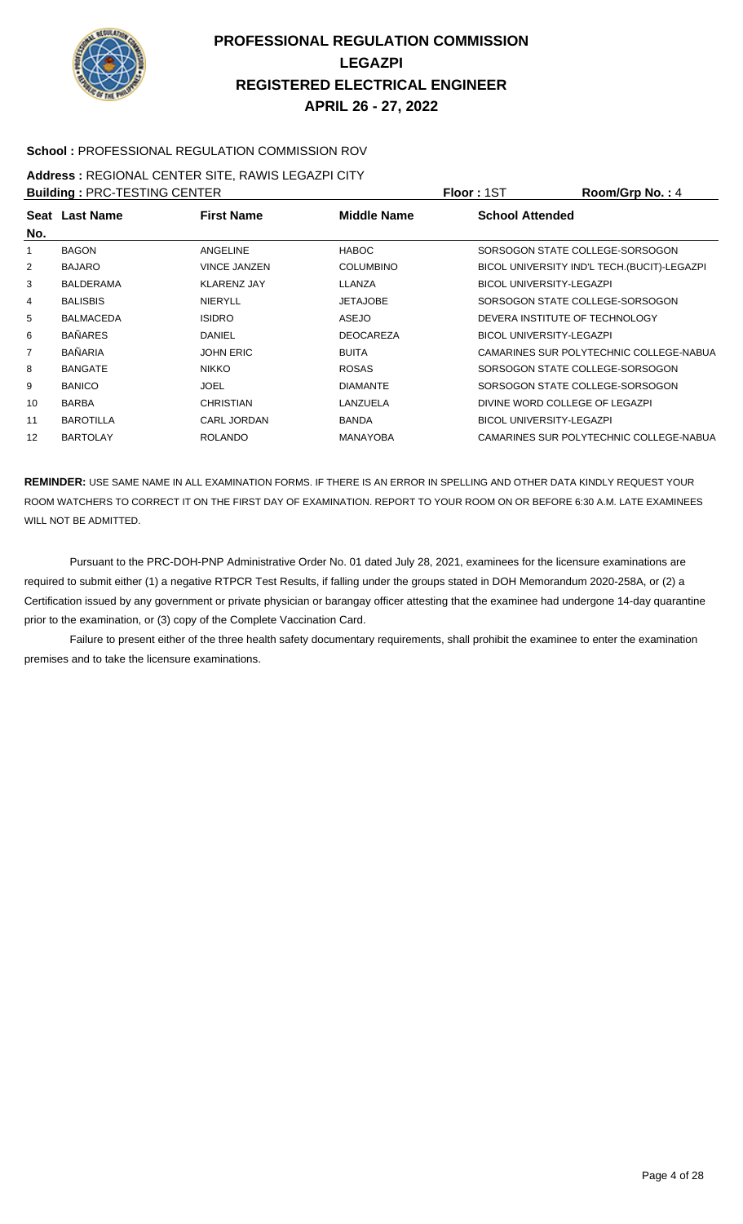

#### **School :** PROFESSIONAL REGULATION COMMISSION ROV

# **Address :** REGIONAL CENTER SITE, RAWIS LEGAZPI CITY

| <b>Building: PRC-TESTING CENTER</b> |                  |                     |                  | <b>Floor: 1ST</b>               | Room/Grp No.: 4                             |
|-------------------------------------|------------------|---------------------|------------------|---------------------------------|---------------------------------------------|
| No.                                 | Seat Last Name   | <b>First Name</b>   | Middle Name      | <b>School Attended</b>          |                                             |
|                                     | <b>BAGON</b>     | ANGELINE            | <b>HABOC</b>     |                                 | SORSOGON STATE COLLEGE-SORSOGON             |
| 2                                   | <b>BAJARO</b>    | <b>VINCE JANZEN</b> | <b>COLUMBINO</b> |                                 | BICOL UNIVERSITY IND'L TECH.(BUCIT)-LEGAZPI |
| 3                                   | <b>BALDERAMA</b> | <b>KLARENZ JAY</b>  | LLANZA           | <b>BICOL UNIVERSITY-LEGAZPI</b> |                                             |
| 4                                   | <b>BALISBIS</b>  | <b>NIERYLL</b>      | <b>JETAJOBE</b>  |                                 | SORSOGON STATE COLLEGE-SORSOGON             |
| 5                                   | <b>BALMACEDA</b> | <b>ISIDRO</b>       | <b>ASEJO</b>     | DEVERA INSTITUTE OF TECHNOLOGY  |                                             |
| 6                                   | <b>BAÑARES</b>   | DANIEL              | <b>DEOCAREZA</b> | <b>BICOL UNIVERSITY-LEGAZPI</b> |                                             |
|                                     | <b>BAÑARIA</b>   | <b>JOHN ERIC</b>    | <b>BUITA</b>     |                                 | CAMARINES SUR POLYTECHNIC COLLEGE-NABUA     |
| 8                                   | <b>BANGATE</b>   | <b>NIKKO</b>        | <b>ROSAS</b>     |                                 | SORSOGON STATE COLLEGE-SORSOGON             |
| 9                                   | <b>BANICO</b>    | <b>JOEL</b>         | <b>DIAMANTE</b>  |                                 | SORSOGON STATE COLLEGE-SORSOGON             |
| 10                                  | <b>BARBA</b>     | <b>CHRISTIAN</b>    | LANZUELA         | DIVINE WORD COLLEGE OF LEGAZPI  |                                             |
| 11                                  | <b>BAROTILLA</b> | <b>CARL JORDAN</b>  | <b>BANDA</b>     | <b>BICOL UNIVERSITY-LEGAZPI</b> |                                             |
| 12                                  | <b>BARTOLAY</b>  | <b>ROLANDO</b>      | <b>MANAYOBA</b>  |                                 | CAMARINES SUR POLYTECHNIC COLLEGE-NABUA     |

**REMINDER:** USE SAME NAME IN ALL EXAMINATION FORMS. IF THERE IS AN ERROR IN SPELLING AND OTHER DATA KINDLY REQUEST YOUR ROOM WATCHERS TO CORRECT IT ON THE FIRST DAY OF EXAMINATION. REPORT TO YOUR ROOM ON OR BEFORE 6:30 A.M. LATE EXAMINEES WILL NOT BE ADMITTED.

 Pursuant to the PRC-DOH-PNP Administrative Order No. 01 dated July 28, 2021, examinees for the licensure examinations are required to submit either (1) a negative RTPCR Test Results, if falling under the groups stated in DOH Memorandum 2020-258A, or (2) a Certification issued by any government or private physician or barangay officer attesting that the examinee had undergone 14-day quarantine prior to the examination, or (3) copy of the Complete Vaccination Card.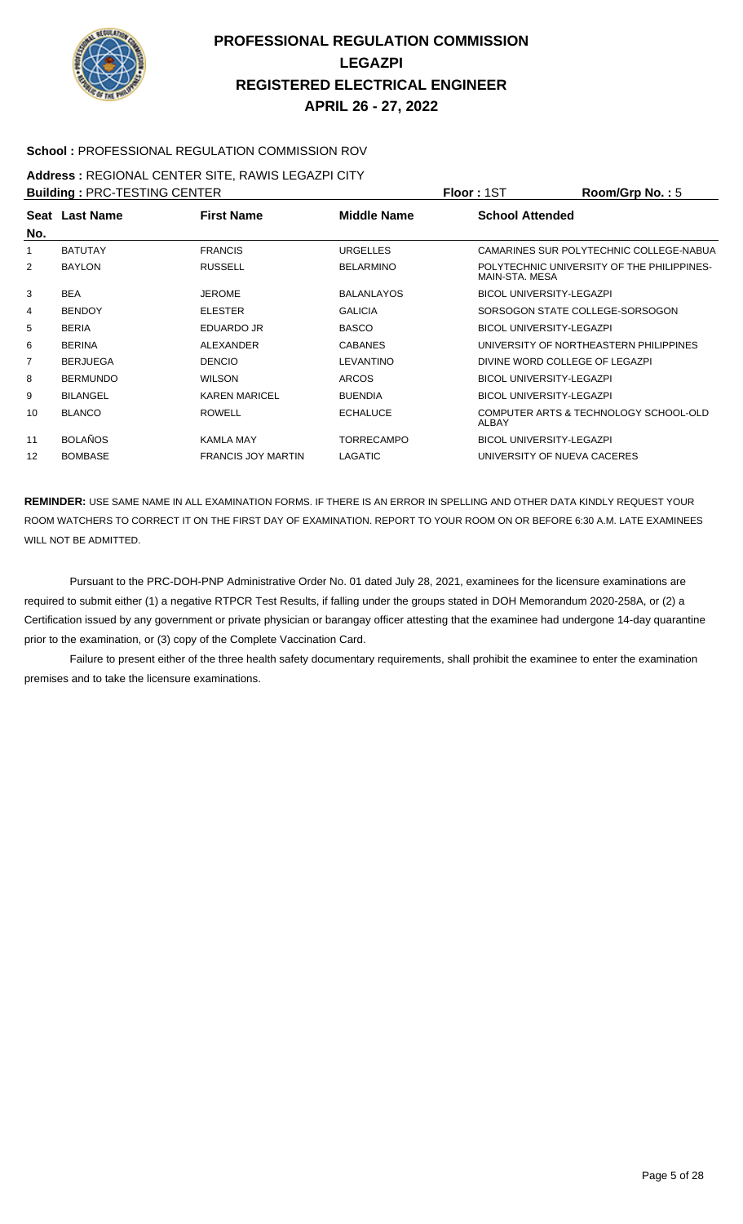

#### **School :** PROFESSIONAL REGULATION COMMISSION ROV

#### **Address :** REGIONAL CENTER SITE, RAWIS LEGAZPI CITY

| <b>Building: PRC-TESTING CENTER</b> |                 |                           |                   | <b>Floor: 1ST</b>               | Room/Grp No.: 5                            |
|-------------------------------------|-----------------|---------------------------|-------------------|---------------------------------|--------------------------------------------|
|                                     | Seat Last Name  | <b>First Name</b>         | Middle Name       | <b>School Attended</b>          |                                            |
| No.                                 |                 |                           |                   |                                 |                                            |
|                                     | <b>BATUTAY</b>  | <b>FRANCIS</b>            | <b>URGELLES</b>   |                                 | CAMARINES SUR POLYTECHNIC COLLEGE-NABUA    |
| 2                                   | <b>BAYLON</b>   | <b>RUSSELL</b>            | <b>BELARMINO</b>  | MAIN-STA, MESA                  | POLYTECHNIC UNIVERSITY OF THE PHILIPPINES- |
| 3                                   | <b>BEA</b>      | <b>JEROME</b>             | <b>BALANLAYOS</b> | <b>BICOL UNIVERSITY-LEGAZPI</b> |                                            |
| 4                                   | <b>BENDOY</b>   | <b>ELESTER</b>            | <b>GALICIA</b>    |                                 | SORSOGON STATE COLLEGE-SORSOGON            |
| 5                                   | <b>BERIA</b>    | EDUARDO JR                | <b>BASCO</b>      | <b>BICOL UNIVERSITY-LEGAZPI</b> |                                            |
| 6                                   | <b>BERINA</b>   | ALEXANDER                 | <b>CABANES</b>    |                                 | UNIVERSITY OF NORTHEASTERN PHILIPPINES     |
| 7                                   | <b>BERJUEGA</b> | <b>DENCIO</b>             | LEVANTINO         | DIVINE WORD COLLEGE OF LEGAZPI  |                                            |
| 8                                   | <b>BERMUNDO</b> | <b>WILSON</b>             | <b>ARCOS</b>      | <b>BICOL UNIVERSITY-LEGAZPI</b> |                                            |
| 9                                   | <b>BILANGEL</b> | <b>KAREN MARICEL</b>      | <b>BUENDIA</b>    | <b>BICOL UNIVERSITY-LEGAZPI</b> |                                            |
| 10                                  | <b>BLANCO</b>   | <b>ROWELL</b>             | <b>ECHALUCE</b>   | ALBAY                           | COMPUTER ARTS & TECHNOLOGY SCHOOL-OLD      |
| 11                                  | <b>BOLAÑOS</b>  | <b>KAMLA MAY</b>          | <b>TORRECAMPO</b> | <b>BICOL UNIVERSITY-LEGAZPI</b> |                                            |
| $12 \overline{ }$                   | <b>BOMBASE</b>  | <b>FRANCIS JOY MARTIN</b> | LAGATIC           | UNIVERSITY OF NUEVA CACERES     |                                            |

**REMINDER:** USE SAME NAME IN ALL EXAMINATION FORMS. IF THERE IS AN ERROR IN SPELLING AND OTHER DATA KINDLY REQUEST YOUR ROOM WATCHERS TO CORRECT IT ON THE FIRST DAY OF EXAMINATION. REPORT TO YOUR ROOM ON OR BEFORE 6:30 A.M. LATE EXAMINEES WILL NOT BE ADMITTED.

 Pursuant to the PRC-DOH-PNP Administrative Order No. 01 dated July 28, 2021, examinees for the licensure examinations are required to submit either (1) a negative RTPCR Test Results, if falling under the groups stated in DOH Memorandum 2020-258A, or (2) a Certification issued by any government or private physician or barangay officer attesting that the examinee had undergone 14-day quarantine prior to the examination, or (3) copy of the Complete Vaccination Card.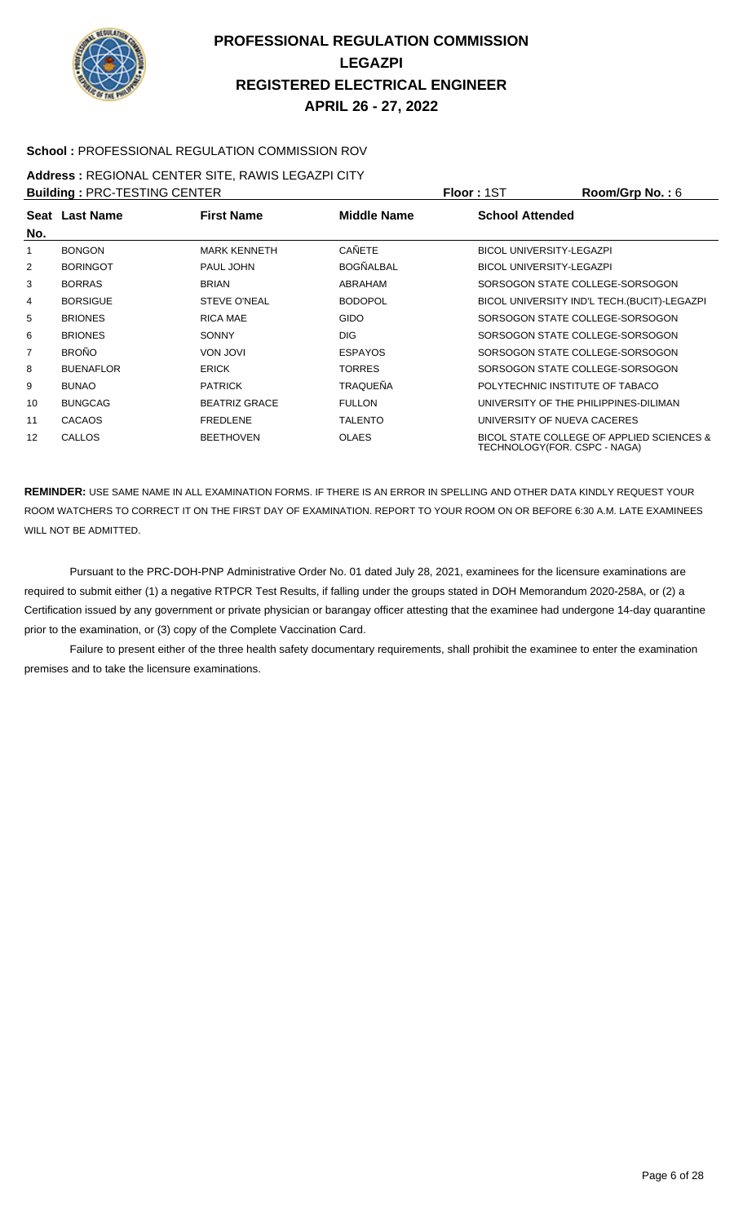

#### **School :** PROFESSIONAL REGULATION COMMISSION ROV

# **Address :** REGIONAL CENTER SITE, RAWIS LEGAZPI CITY

| <b>Building: PRC-TESTING CENTER</b> |                  |                      |                    | <b>Floor: 1ST</b>               | Room/Grp No.: 6                              |
|-------------------------------------|------------------|----------------------|--------------------|---------------------------------|----------------------------------------------|
| No.                                 | Seat Last Name   | <b>First Name</b>    | <b>Middle Name</b> | <b>School Attended</b>          |                                              |
|                                     | <b>BONGON</b>    | <b>MARK KENNETH</b>  | CAÑETE             | <b>BICOL UNIVERSITY-LEGAZPI</b> |                                              |
| $\overline{2}$                      | <b>BORINGOT</b>  | PAUL JOHN            | <b>BOGÑALBAL</b>   | <b>BICOL UNIVERSITY-LEGAZPI</b> |                                              |
| 3                                   | <b>BORRAS</b>    | <b>BRIAN</b>         | ABRAHAM            |                                 | SORSOGON STATE COLLEGE-SORSOGON              |
| 4                                   | <b>BORSIGUE</b>  | <b>STEVE O'NEAL</b>  | <b>BODOPOL</b>     |                                 | BICOL UNIVERSITY IND'L TECH. (BUCIT)-LEGAZPI |
| 5                                   | <b>BRIONES</b>   | RICA MAE             | <b>GIDO</b>        |                                 | SORSOGON STATE COLLEGE-SORSOGON              |
| 6                                   | <b>BRIONES</b>   | <b>SONNY</b>         | <b>DIG</b>         |                                 | SORSOGON STATE COLLEGE-SORSOGON              |
| 7                                   | <b>BROÑO</b>     | <b>VON JOVI</b>      | <b>ESPAYOS</b>     |                                 | SORSOGON STATE COLLEGE-SORSOGON              |
| 8                                   | <b>BUENAFLOR</b> | <b>ERICK</b>         | <b>TORRES</b>      |                                 | SORSOGON STATE COLLEGE-SORSOGON              |
| 9                                   | <b>BUNAO</b>     | <b>PATRICK</b>       | <b>TRAQUEÑA</b>    | POLYTECHNIC INSTITUTE OF TABACO |                                              |
| 10                                  | <b>BUNGCAG</b>   | <b>BEATRIZ GRACE</b> | <b>FULLON</b>      |                                 | UNIVERSITY OF THE PHILIPPINES-DILIMAN        |
| 11                                  | <b>CACAOS</b>    | <b>FREDLENE</b>      | <b>TALENTO</b>     | UNIVERSITY OF NUEVA CACERES     |                                              |
| 12                                  | <b>CALLOS</b>    | <b>BEETHOVEN</b>     | <b>OLAES</b>       | TECHNOLOGY (FOR. CSPC - NAGA)   | BICOL STATE COLLEGE OF APPLIED SCIENCES &    |

**REMINDER:** USE SAME NAME IN ALL EXAMINATION FORMS. IF THERE IS AN ERROR IN SPELLING AND OTHER DATA KINDLY REQUEST YOUR ROOM WATCHERS TO CORRECT IT ON THE FIRST DAY OF EXAMINATION. REPORT TO YOUR ROOM ON OR BEFORE 6:30 A.M. LATE EXAMINEES WILL NOT BE ADMITTED.

 Pursuant to the PRC-DOH-PNP Administrative Order No. 01 dated July 28, 2021, examinees for the licensure examinations are required to submit either (1) a negative RTPCR Test Results, if falling under the groups stated in DOH Memorandum 2020-258A, or (2) a Certification issued by any government or private physician or barangay officer attesting that the examinee had undergone 14-day quarantine prior to the examination, or (3) copy of the Complete Vaccination Card.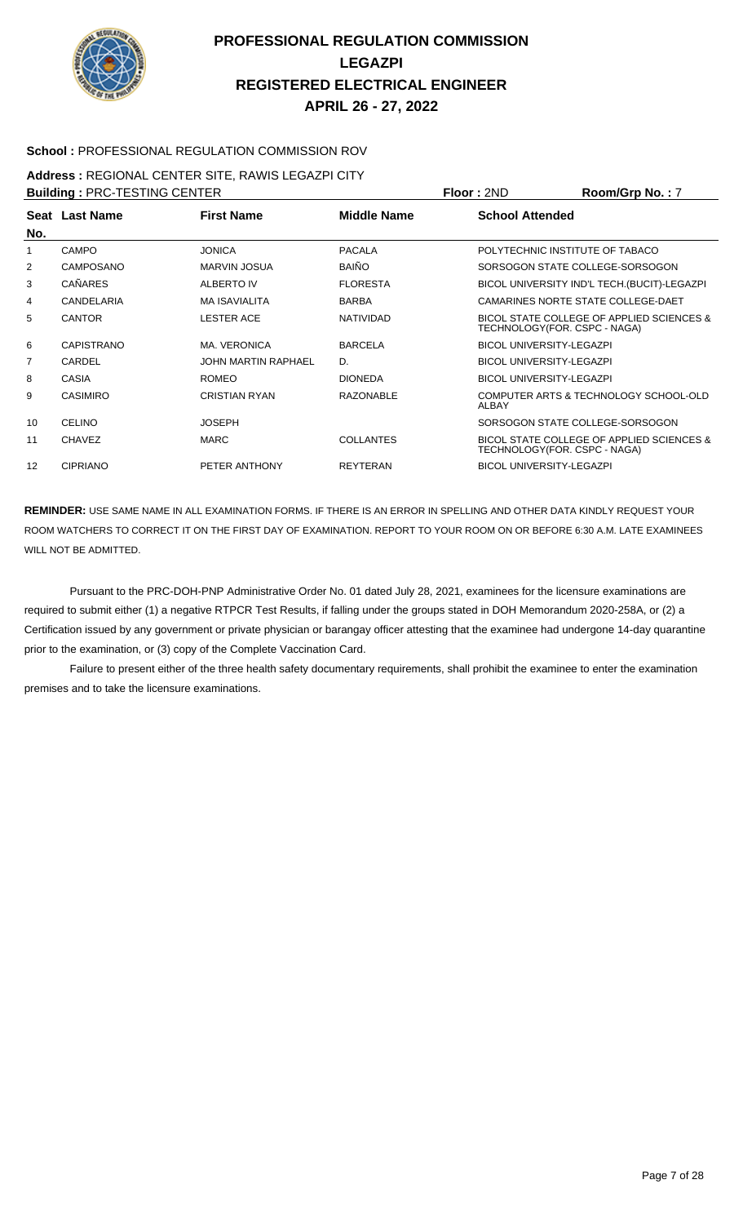

#### **School :** PROFESSIONAL REGULATION COMMISSION ROV

# **Address :** REGIONAL CENTER SITE, RAWIS LEGAZPI CITY

| <b>Building: PRC-TESTING CENTER</b> |                   |                            |                  | Floor: 2ND                      | Room/Grp No.: 7                              |
|-------------------------------------|-------------------|----------------------------|------------------|---------------------------------|----------------------------------------------|
| No.                                 | Seat Last Name    | <b>First Name</b>          | Middle Name      | <b>School Attended</b>          |                                              |
|                                     | <b>CAMPO</b>      | <b>JONICA</b>              | <b>PACALA</b>    |                                 | POLYTECHNIC INSTITUTE OF TABACO              |
| 2                                   | CAMPOSANO         | <b>MARVIN JOSUA</b>        | <b>BAIÑO</b>     |                                 | SORSOGON STATE COLLEGE-SORSOGON              |
| 3                                   | <b>CAÑARES</b>    | ALBERTO IV                 | <b>FLORESTA</b>  |                                 | BICOL UNIVERSITY IND'L TECH. (BUCIT)-LEGAZPI |
| 4                                   | CANDELARIA        | <b>MA ISAVIALITA</b>       | <b>BARBA</b>     |                                 | CAMARINES NORTE STATE COLLEGE-DAET           |
| 5                                   | <b>CANTOR</b>     | <b>LESTER ACE</b>          | <b>NATIVIDAD</b> | TECHNOLOGY (FOR. CSPC - NAGA)   | BICOL STATE COLLEGE OF APPLIED SCIENCES &    |
| 6                                   | <b>CAPISTRANO</b> | MA. VERONICA               | <b>BARCELA</b>   | <b>BICOL UNIVERSITY-LEGAZPI</b> |                                              |
| 7                                   | CARDEL            | <b>JOHN MARTIN RAPHAEL</b> | D.               | <b>BICOL UNIVERSITY-LEGAZPI</b> |                                              |
| 8                                   | CASIA             | <b>ROMEO</b>               | <b>DIONEDA</b>   | <b>BICOL UNIVERSITY-LEGAZPI</b> |                                              |
| 9                                   | <b>CASIMIRO</b>   | <b>CRISTIAN RYAN</b>       | <b>RAZONABLE</b> | ALBAY                           | COMPUTER ARTS & TECHNOLOGY SCHOOL-OLD        |
| 10                                  | <b>CELINO</b>     | <b>JOSEPH</b>              |                  |                                 | SORSOGON STATE COLLEGE-SORSOGON              |
| 11                                  | <b>CHAVEZ</b>     | <b>MARC</b>                | <b>COLLANTES</b> | TECHNOLOGY(FOR. CSPC - NAGA)    | BICOL STATE COLLEGE OF APPLIED SCIENCES &    |
| 12                                  | <b>CIPRIANO</b>   | PETER ANTHONY              | <b>REYTERAN</b>  | <b>BICOL UNIVERSITY-LEGAZPI</b> |                                              |

**REMINDER:** USE SAME NAME IN ALL EXAMINATION FORMS. IF THERE IS AN ERROR IN SPELLING AND OTHER DATA KINDLY REQUEST YOUR ROOM WATCHERS TO CORRECT IT ON THE FIRST DAY OF EXAMINATION. REPORT TO YOUR ROOM ON OR BEFORE 6:30 A.M. LATE EXAMINEES WILL NOT BE ADMITTED.

 Pursuant to the PRC-DOH-PNP Administrative Order No. 01 dated July 28, 2021, examinees for the licensure examinations are required to submit either (1) a negative RTPCR Test Results, if falling under the groups stated in DOH Memorandum 2020-258A, or (2) a Certification issued by any government or private physician or barangay officer attesting that the examinee had undergone 14-day quarantine prior to the examination, or (3) copy of the Complete Vaccination Card.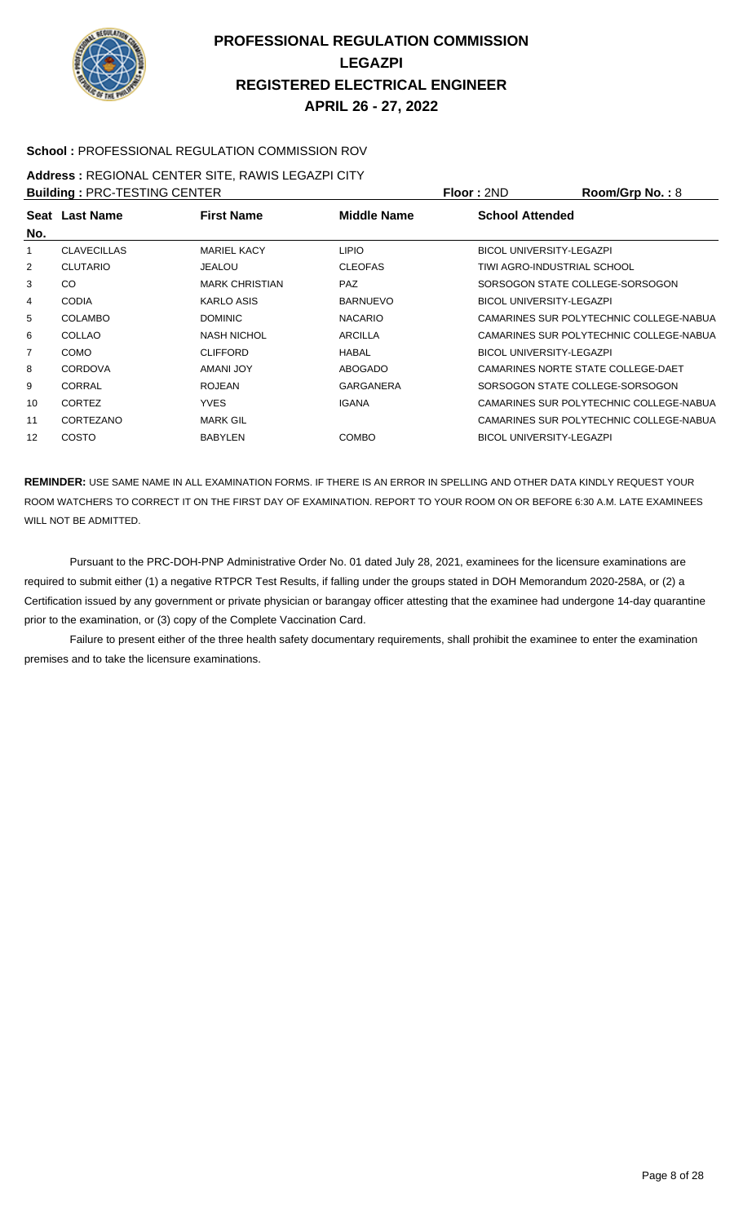

#### **School :** PROFESSIONAL REGULATION COMMISSION ROV

### **Address :** REGIONAL CENTER SITE, RAWIS LEGAZPI CITY

| <b>Building: PRC-TESTING CENTER</b> |                    |                       |                  | <b>Floor: 2ND</b>               | Room/Grp No.: 8                         |
|-------------------------------------|--------------------|-----------------------|------------------|---------------------------------|-----------------------------------------|
|                                     | Seat Last Name     | <b>First Name</b>     | Middle Name      | <b>School Attended</b>          |                                         |
| No.                                 |                    |                       |                  |                                 |                                         |
|                                     | <b>CLAVECILLAS</b> | <b>MARIEL KACY</b>    | <b>LIPIO</b>     | <b>BICOL UNIVERSITY-LEGAZPI</b> |                                         |
| 2                                   | <b>CLUTARIO</b>    | <b>JEALOU</b>         | <b>CLEOFAS</b>   | TIWI AGRO-INDUSTRIAL SCHOOL     |                                         |
| 3                                   | CO.                | <b>MARK CHRISTIAN</b> | <b>PAZ</b>       |                                 | SORSOGON STATE COLLEGE-SORSOGON         |
| 4                                   | <b>CODIA</b>       | <b>KARLO ASIS</b>     | <b>BARNUEVO</b>  | <b>BICOL UNIVERSITY-LEGAZPI</b> |                                         |
| 5                                   | <b>COLAMBO</b>     | <b>DOMINIC</b>        | <b>NACARIO</b>   |                                 | CAMARINES SUR POLYTECHNIC COLLEGE-NABUA |
| 6                                   | COLLAO             | <b>NASH NICHOL</b>    | ARCILLA          |                                 | CAMARINES SUR POLYTECHNIC COLLEGE-NABUA |
|                                     | <b>COMO</b>        | <b>CLIFFORD</b>       | HABAL            | <b>BICOL UNIVERSITY-LEGAZPI</b> |                                         |
| 8                                   | <b>CORDOVA</b>     | AMANI JOY             | <b>ABOGADO</b>   |                                 | CAMARINES NORTE STATE COLLEGE-DAET      |
| 9                                   | CORRAL             | <b>ROJEAN</b>         | <b>GARGANERA</b> |                                 | SORSOGON STATE COLLEGE-SORSOGON         |
| 10                                  | <b>CORTEZ</b>      | <b>YVES</b>           | <b>IGANA</b>     |                                 | CAMARINES SUR POLYTECHNIC COLLEGE-NABUA |
| 11                                  | CORTEZANO          | <b>MARK GIL</b>       |                  |                                 | CAMARINES SUR POLYTECHNIC COLLEGE-NABUA |
| 12                                  | COSTO              | <b>BABYLEN</b>        | <b>COMBO</b>     | <b>BICOL UNIVERSITY-LEGAZPI</b> |                                         |
|                                     |                    |                       |                  |                                 |                                         |

**REMINDER:** USE SAME NAME IN ALL EXAMINATION FORMS. IF THERE IS AN ERROR IN SPELLING AND OTHER DATA KINDLY REQUEST YOUR ROOM WATCHERS TO CORRECT IT ON THE FIRST DAY OF EXAMINATION. REPORT TO YOUR ROOM ON OR BEFORE 6:30 A.M. LATE EXAMINEES WILL NOT BE ADMITTED.

 Pursuant to the PRC-DOH-PNP Administrative Order No. 01 dated July 28, 2021, examinees for the licensure examinations are required to submit either (1) a negative RTPCR Test Results, if falling under the groups stated in DOH Memorandum 2020-258A, or (2) a Certification issued by any government or private physician or barangay officer attesting that the examinee had undergone 14-day quarantine prior to the examination, or (3) copy of the Complete Vaccination Card.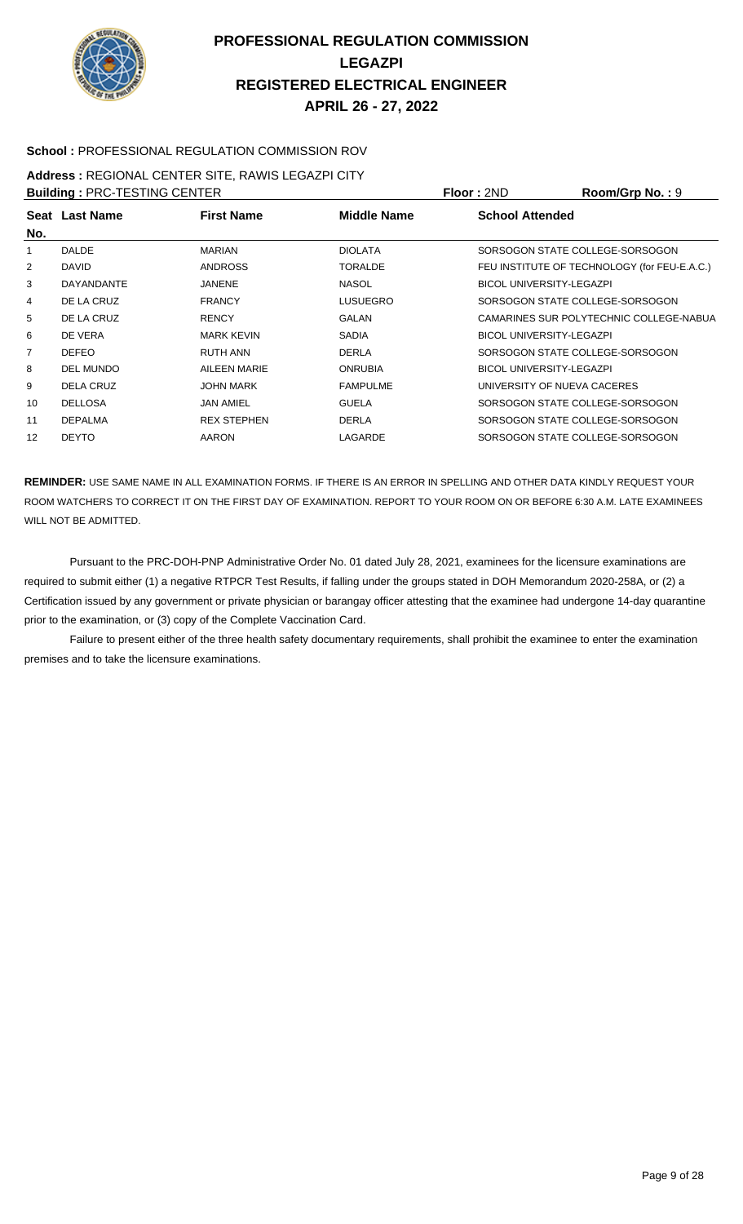

#### **School :** PROFESSIONAL REGULATION COMMISSION ROV

#### **Address :** REGIONAL CENTER SITE, RAWIS LEGAZPI CITY

| <b>Building: PRC-TESTING CENTER</b> |                   |                    |                 | Floor: 2ND                      | Room/Grp No.: 9                              |
|-------------------------------------|-------------------|--------------------|-----------------|---------------------------------|----------------------------------------------|
| No.                                 | Seat Last Name    | <b>First Name</b>  | Middle Name     | <b>School Attended</b>          |                                              |
|                                     | <b>DALDE</b>      | <b>MARIAN</b>      | <b>DIOLATA</b>  |                                 | SORSOGON STATE COLLEGE-SORSOGON              |
| 2                                   | <b>DAVID</b>      | <b>ANDROSS</b>     | <b>TORALDE</b>  |                                 | FEU INSTITUTE OF TECHNOLOGY (for FEU-E.A.C.) |
| 3                                   | <b>DAYANDANTE</b> | <b>JANENE</b>      | <b>NASOL</b>    | <b>BICOL UNIVERSITY-LEGAZPI</b> |                                              |
| 4                                   | DE LA CRUZ        | <b>FRANCY</b>      | <b>LUSUEGRO</b> |                                 | SORSOGON STATE COLLEGE-SORSOGON              |
| 5                                   | DE LA CRUZ        | <b>RENCY</b>       | GALAN           |                                 | CAMARINES SUR POLYTECHNIC COLLEGE-NABUA      |
| 6                                   | DE VERA           | <b>MARK KEVIN</b>  | <b>SADIA</b>    | <b>BICOL UNIVERSITY-LEGAZPI</b> |                                              |
|                                     | <b>DEFEO</b>      | RUTH ANN           | <b>DERLA</b>    |                                 | SORSOGON STATE COLLEGE-SORSOGON              |
| 8                                   | <b>DEL MUNDO</b>  | AILEEN MARIE       | <b>ONRUBIA</b>  | <b>BICOL UNIVERSITY-LEGAZPI</b> |                                              |
| 9                                   | <b>DELA CRUZ</b>  | <b>JOHN MARK</b>   | <b>FAMPULME</b> | UNIVERSITY OF NUEVA CACERES     |                                              |
| 10                                  | <b>DELLOSA</b>    | <b>JAN AMIEL</b>   | <b>GUELA</b>    |                                 | SORSOGON STATE COLLEGE-SORSOGON              |
| 11                                  | <b>DEPALMA</b>    | <b>REX STEPHEN</b> | <b>DERLA</b>    |                                 | SORSOGON STATE COLLEGE-SORSOGON              |
| 12                                  | <b>DEYTO</b>      | <b>AARON</b>       | LAGARDE         |                                 | SORSOGON STATE COLLEGE-SORSOGON              |

**REMINDER:** USE SAME NAME IN ALL EXAMINATION FORMS. IF THERE IS AN ERROR IN SPELLING AND OTHER DATA KINDLY REQUEST YOUR ROOM WATCHERS TO CORRECT IT ON THE FIRST DAY OF EXAMINATION. REPORT TO YOUR ROOM ON OR BEFORE 6:30 A.M. LATE EXAMINEES WILL NOT BE ADMITTED.

 Pursuant to the PRC-DOH-PNP Administrative Order No. 01 dated July 28, 2021, examinees for the licensure examinations are required to submit either (1) a negative RTPCR Test Results, if falling under the groups stated in DOH Memorandum 2020-258A, or (2) a Certification issued by any government or private physician or barangay officer attesting that the examinee had undergone 14-day quarantine prior to the examination, or (3) copy of the Complete Vaccination Card.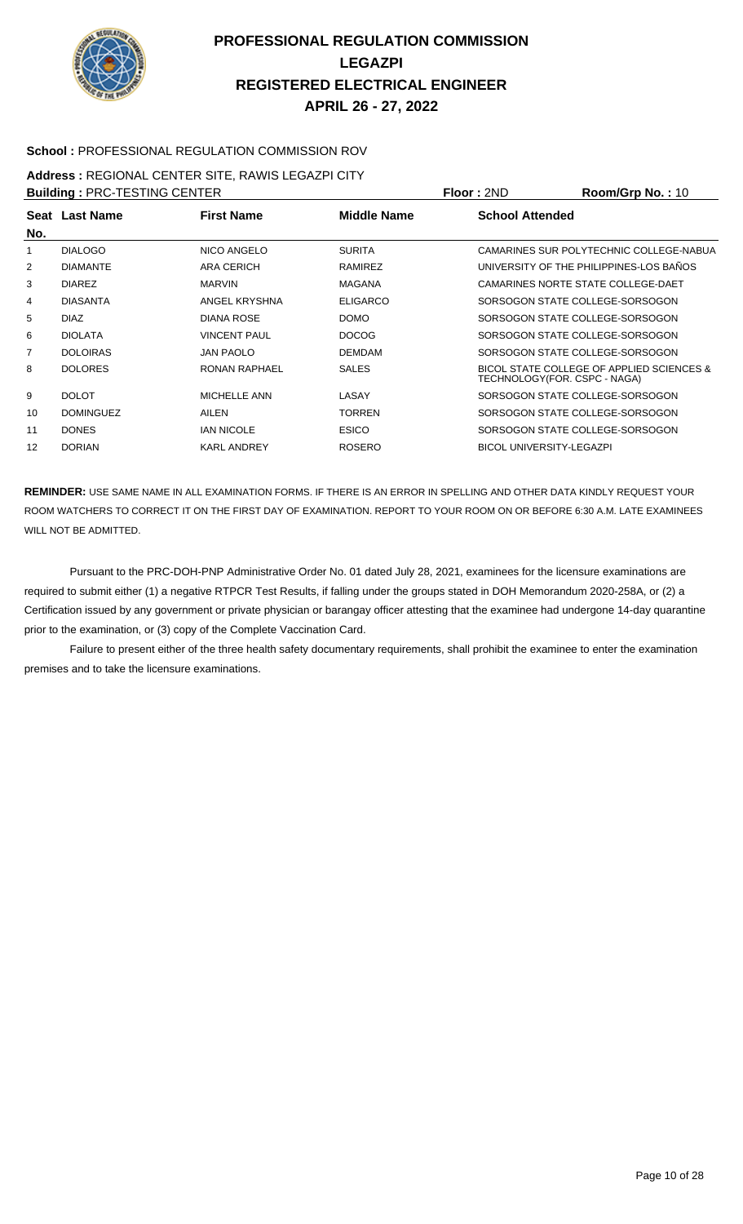

#### **School :** PROFESSIONAL REGULATION COMMISSION ROV

# **Address :** REGIONAL CENTER SITE, RAWIS LEGAZPI CITY

| <b>Building: PRC-TESTING CENTER</b> |                  |                     |                    | Floor: 2ND                      | Room/Grp No.: 10                          |
|-------------------------------------|------------------|---------------------|--------------------|---------------------------------|-------------------------------------------|
|                                     | Seat Last Name   | <b>First Name</b>   | <b>Middle Name</b> | <b>School Attended</b>          |                                           |
| No.                                 |                  |                     |                    |                                 |                                           |
|                                     | <b>DIALOGO</b>   | NICO ANGELO         | <b>SURITA</b>      |                                 | CAMARINES SUR POLYTECHNIC COLLEGE-NABUA   |
| 2                                   | <b>DIAMANTE</b>  | ARA CERICH          | RAMIREZ            |                                 | UNIVERSITY OF THE PHILIPPINES-LOS BAÑOS   |
| 3                                   | <b>DIAREZ</b>    | <b>MARVIN</b>       | <b>MAGANA</b>      |                                 | CAMARINES NORTE STATE COLLEGE-DAET        |
| 4                                   | <b>DIASANTA</b>  | ANGEL KRYSHNA       | <b>ELIGARCO</b>    |                                 | SORSOGON STATE COLLEGE-SORSOGON           |
| 5                                   | <b>DIAZ</b>      | DIANA ROSE          | <b>DOMO</b>        |                                 | SORSOGON STATE COLLEGE-SORSOGON           |
| 6                                   | <b>DIOLATA</b>   | <b>VINCENT PAUL</b> | <b>DOCOG</b>       |                                 | SORSOGON STATE COLLEGE-SORSOGON           |
|                                     | <b>DOLOIRAS</b>  | <b>JAN PAOLO</b>    | <b>DEMDAM</b>      |                                 | SORSOGON STATE COLLEGE-SORSOGON           |
| 8                                   | <b>DOLORES</b>   | RONAN RAPHAEL       | <b>SALES</b>       | TECHNOLOGY(FOR. CSPC - NAGA)    | BICOL STATE COLLEGE OF APPLIED SCIENCES & |
| 9                                   | <b>DOLOT</b>     | <b>MICHELLE ANN</b> | LASAY              |                                 | SORSOGON STATE COLLEGE-SORSOGON           |
| 10                                  | <b>DOMINGUEZ</b> | AILEN               | <b>TORREN</b>      |                                 | SORSOGON STATE COLLEGE-SORSOGON           |
| 11                                  | <b>DONES</b>     | <b>IAN NICOLE</b>   | <b>ESICO</b>       |                                 | SORSOGON STATE COLLEGE-SORSOGON           |
| 12                                  | <b>DORIAN</b>    | <b>KARL ANDREY</b>  | <b>ROSERO</b>      | <b>BICOL UNIVERSITY-LEGAZPI</b> |                                           |

**REMINDER:** USE SAME NAME IN ALL EXAMINATION FORMS. IF THERE IS AN ERROR IN SPELLING AND OTHER DATA KINDLY REQUEST YOUR ROOM WATCHERS TO CORRECT IT ON THE FIRST DAY OF EXAMINATION. REPORT TO YOUR ROOM ON OR BEFORE 6:30 A.M. LATE EXAMINEES WILL NOT BE ADMITTED.

 Pursuant to the PRC-DOH-PNP Administrative Order No. 01 dated July 28, 2021, examinees for the licensure examinations are required to submit either (1) a negative RTPCR Test Results, if falling under the groups stated in DOH Memorandum 2020-258A, or (2) a Certification issued by any government or private physician or barangay officer attesting that the examinee had undergone 14-day quarantine prior to the examination, or (3) copy of the Complete Vaccination Card.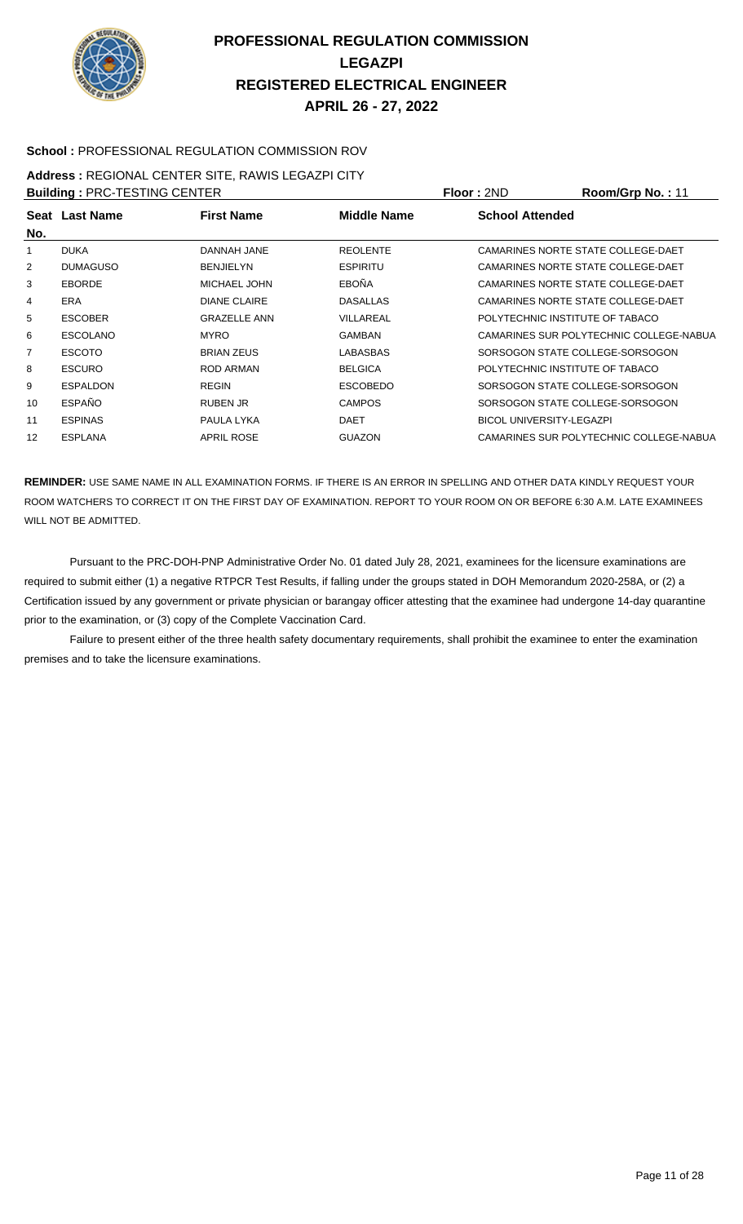

#### **School :** PROFESSIONAL REGULATION COMMISSION ROV

# **Address :** REGIONAL CENTER SITE, RAWIS LEGAZPI CITY

| <b>Building: PRC-TESTING CENTER</b> |                 |                     |                 | <b>Floor: 2ND</b>               | Room/Grp No.: 11                        |
|-------------------------------------|-----------------|---------------------|-----------------|---------------------------------|-----------------------------------------|
| No.                                 | Seat Last Name  | <b>First Name</b>   | Middle Name     | <b>School Attended</b>          |                                         |
| 1                                   | <b>DUKA</b>     | DANNAH JANE         | <b>REOLENTE</b> |                                 | CAMARINES NORTE STATE COLLEGE-DAET      |
| 2                                   | <b>DUMAGUSO</b> | <b>BENJIELYN</b>    | <b>ESPIRITU</b> |                                 | CAMARINES NORTE STATE COLLEGE-DAET      |
| 3                                   | <b>EBORDE</b>   | <b>MICHAEL JOHN</b> | <b>EBOÑA</b>    |                                 | CAMARINES NORTE STATE COLLEGE-DAET      |
| 4                                   | <b>ERA</b>      | <b>DIANE CLAIRE</b> | <b>DASALLAS</b> |                                 | CAMARINES NORTE STATE COLLEGE-DAET      |
| 5                                   | <b>ESCOBER</b>  | <b>GRAZELLE ANN</b> | VILLAREAL       | POLYTECHNIC INSTITUTE OF TABACO |                                         |
| 6                                   | <b>ESCOLANO</b> | <b>MYRO</b>         | GAMBAN          |                                 | CAMARINES SUR POLYTECHNIC COLLEGE-NABUA |
| 7                                   | <b>ESCOTO</b>   | <b>BRIAN ZEUS</b>   | LABASBAS        |                                 | SORSOGON STATE COLLEGE-SORSOGON         |
| 8                                   | <b>ESCURO</b>   | <b>ROD ARMAN</b>    | <b>BELGICA</b>  | POLYTECHNIC INSTITUTE OF TABACO |                                         |
| 9                                   | <b>ESPALDON</b> | <b>REGIN</b>        | <b>ESCOBEDO</b> |                                 | SORSOGON STATE COLLEGE-SORSOGON         |
| 10                                  | <b>ESPAÑO</b>   | RUBEN JR            | <b>CAMPOS</b>   |                                 | SORSOGON STATE COLLEGE-SORSOGON         |
| 11                                  | <b>ESPINAS</b>  | PAULA LYKA          | <b>DAET</b>     | <b>BICOL UNIVERSITY-LEGAZPI</b> |                                         |
| 12                                  | <b>ESPLANA</b>  | <b>APRIL ROSE</b>   | <b>GUAZON</b>   |                                 | CAMARINES SUR POLYTECHNIC COLLEGE-NABUA |

**REMINDER:** USE SAME NAME IN ALL EXAMINATION FORMS. IF THERE IS AN ERROR IN SPELLING AND OTHER DATA KINDLY REQUEST YOUR ROOM WATCHERS TO CORRECT IT ON THE FIRST DAY OF EXAMINATION. REPORT TO YOUR ROOM ON OR BEFORE 6:30 A.M. LATE EXAMINEES WILL NOT BE ADMITTED.

 Pursuant to the PRC-DOH-PNP Administrative Order No. 01 dated July 28, 2021, examinees for the licensure examinations are required to submit either (1) a negative RTPCR Test Results, if falling under the groups stated in DOH Memorandum 2020-258A, or (2) a Certification issued by any government or private physician or barangay officer attesting that the examinee had undergone 14-day quarantine prior to the examination, or (3) copy of the Complete Vaccination Card.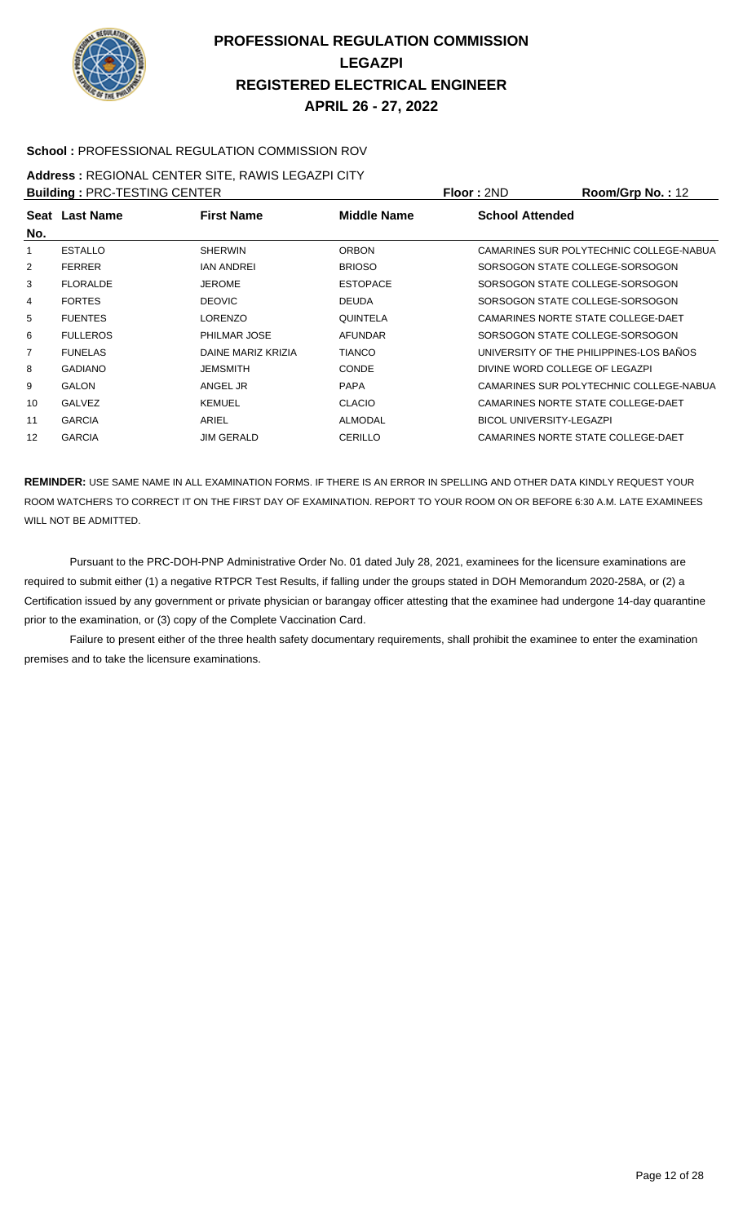

#### **School :** PROFESSIONAL REGULATION COMMISSION ROV

# **Address :** REGIONAL CENTER SITE, RAWIS LEGAZPI CITY

| <b>Building: PRC-TESTING CENTER</b> |                 |                     |                    | Floor: 2ND                      | Room/Grp No.: 12                        |
|-------------------------------------|-----------------|---------------------|--------------------|---------------------------------|-----------------------------------------|
|                                     | Seat Last Name  | <b>First Name</b>   | <b>Middle Name</b> | <b>School Attended</b>          |                                         |
| No.                                 |                 |                     |                    |                                 |                                         |
|                                     | <b>ESTALLO</b>  | <b>SHERWIN</b>      | <b>ORBON</b>       |                                 | CAMARINES SUR POLYTECHNIC COLLEGE-NABUA |
| 2                                   | <b>FERRER</b>   | <b>IAN ANDREI</b>   | <b>BRIOSO</b>      |                                 | SORSOGON STATE COLLEGE-SORSOGON         |
| 3                                   | <b>FLORALDE</b> | <b>JEROME</b>       | <b>ESTOPACE</b>    |                                 | SORSOGON STATE COLLEGE-SORSOGON         |
| 4                                   | <b>FORTES</b>   | <b>DEOVIC</b>       | <b>DEUDA</b>       |                                 | SORSOGON STATE COLLEGE-SORSOGON         |
| 5                                   | <b>FUENTES</b>  | <b>LORENZO</b>      | <b>QUINTELA</b>    |                                 | CAMARINES NORTE STATE COLLEGE-DAET      |
| 6                                   | <b>FULLEROS</b> | <b>PHILMAR JOSE</b> | <b>AFUNDAR</b>     |                                 | SORSOGON STATE COLLEGE-SORSOGON         |
| $\overline{7}$                      | <b>FUNELAS</b>  | DAINE MARIZ KRIZIA  | <b>TIANCO</b>      |                                 | UNIVERSITY OF THE PHILIPPINES-LOS BAÑOS |
| 8                                   | <b>GADIANO</b>  | <b>JEMSMITH</b>     | <b>CONDE</b>       | DIVINE WORD COLLEGE OF LEGAZPI  |                                         |
| 9                                   | <b>GALON</b>    | ANGEL JR            | <b>PAPA</b>        |                                 | CAMARINES SUR POLYTECHNIC COLLEGE-NABUA |
| 10                                  | <b>GALVEZ</b>   | <b>KEMUEL</b>       | <b>CLACIO</b>      |                                 | CAMARINES NORTE STATE COLLEGE-DAET      |
| 11                                  | <b>GARCIA</b>   | ARIEL               | <b>ALMODAL</b>     | <b>BICOL UNIVERSITY-LEGAZPI</b> |                                         |
| 12                                  | <b>GARCIA</b>   | <b>JIM GERALD</b>   | <b>CERILLO</b>     |                                 | CAMARINES NORTE STATE COLLEGE-DAET      |
|                                     |                 |                     |                    |                                 |                                         |

**REMINDER:** USE SAME NAME IN ALL EXAMINATION FORMS. IF THERE IS AN ERROR IN SPELLING AND OTHER DATA KINDLY REQUEST YOUR ROOM WATCHERS TO CORRECT IT ON THE FIRST DAY OF EXAMINATION. REPORT TO YOUR ROOM ON OR BEFORE 6:30 A.M. LATE EXAMINEES WILL NOT BE ADMITTED.

 Pursuant to the PRC-DOH-PNP Administrative Order No. 01 dated July 28, 2021, examinees for the licensure examinations are required to submit either (1) a negative RTPCR Test Results, if falling under the groups stated in DOH Memorandum 2020-258A, or (2) a Certification issued by any government or private physician or barangay officer attesting that the examinee had undergone 14-day quarantine prior to the examination, or (3) copy of the Complete Vaccination Card.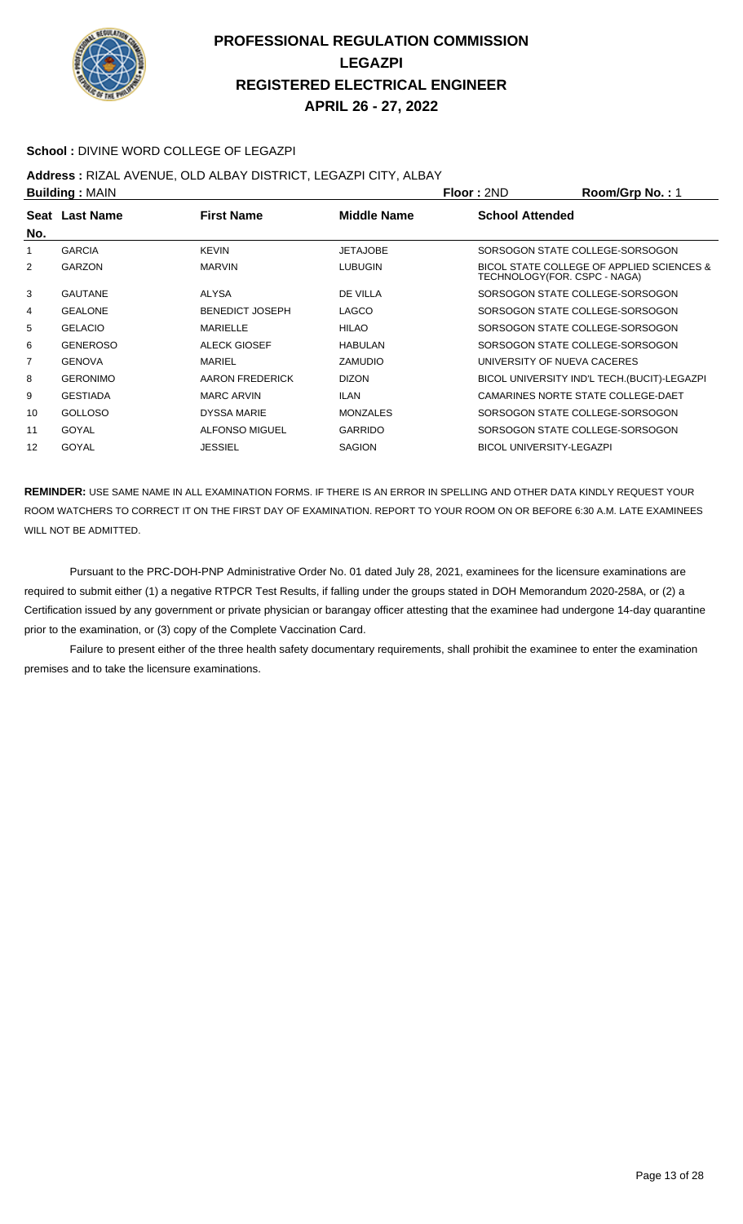

#### **School :** DIVINE WORD COLLEGE OF LEGAZPI

#### **Address :** RIZAL AVENUE, OLD ALBAY DISTRICT, LEGAZPI CITY, ALBAY

| <b>Building: MAIN</b> |                 | Floor: 2ND             | Room/Grp No.: 1    |                                 |                                                                           |
|-----------------------|-----------------|------------------------|--------------------|---------------------------------|---------------------------------------------------------------------------|
| No.                   | Seat Last Name  | <b>First Name</b>      | <b>Middle Name</b> | <b>School Attended</b>          |                                                                           |
| 1                     | <b>GARCIA</b>   | <b>KEVIN</b>           | <b>JETAJOBE</b>    |                                 | SORSOGON STATE COLLEGE-SORSOGON                                           |
| 2                     | <b>GARZON</b>   | <b>MARVIN</b>          | <b>LUBUGIN</b>     |                                 | BICOL STATE COLLEGE OF APPLIED SCIENCES &<br>TECHNOLOGY(FOR. CSPC - NAGA) |
| 3                     | <b>GAUTANE</b>  | ALYSA                  | DE VILLA           |                                 | SORSOGON STATE COLLEGE-SORSOGON                                           |
| 4                     | <b>GEALONE</b>  | <b>BENEDICT JOSEPH</b> | LAGCO              |                                 | SORSOGON STATE COLLEGE-SORSOGON                                           |
| 5                     | <b>GELACIO</b>  | MARIELLE               | <b>HILAO</b>       |                                 | SORSOGON STATE COLLEGE-SORSOGON                                           |
| 6                     | <b>GENEROSO</b> | <b>ALECK GIOSEF</b>    | <b>HABULAN</b>     |                                 | SORSOGON STATE COLLEGE-SORSOGON                                           |
| 7                     | <b>GENOVA</b>   | MARIEL                 | <b>ZAMUDIO</b>     |                                 | UNIVERSITY OF NUEVA CACERES                                               |
| 8                     | <b>GERONIMO</b> | AARON FREDERICK        | <b>DIZON</b>       |                                 | BICOL UNIVERSITY IND'L TECH. (BUCIT)-LEGAZPI                              |
| 9                     | <b>GESTIADA</b> | <b>MARC ARVIN</b>      | <b>ILAN</b>        |                                 | CAMARINES NORTE STATE COLLEGE-DAET                                        |
| 10                    | <b>GOLLOSO</b>  | <b>DYSSA MARIE</b>     | <b>MONZALES</b>    |                                 | SORSOGON STATE COLLEGE-SORSOGON                                           |
| 11                    | GOYAL           | ALFONSO MIGUEL         | <b>GARRIDO</b>     |                                 | SORSOGON STATE COLLEGE-SORSOGON                                           |
| 12                    | GOYAL           | <b>JESSIEL</b>         | <b>SAGION</b>      | <b>BICOL UNIVERSITY-LEGAZPI</b> |                                                                           |

**REMINDER:** USE SAME NAME IN ALL EXAMINATION FORMS. IF THERE IS AN ERROR IN SPELLING AND OTHER DATA KINDLY REQUEST YOUR ROOM WATCHERS TO CORRECT IT ON THE FIRST DAY OF EXAMINATION. REPORT TO YOUR ROOM ON OR BEFORE 6:30 A.M. LATE EXAMINEES WILL NOT BE ADMITTED.

 Pursuant to the PRC-DOH-PNP Administrative Order No. 01 dated July 28, 2021, examinees for the licensure examinations are required to submit either (1) a negative RTPCR Test Results, if falling under the groups stated in DOH Memorandum 2020-258A, or (2) a Certification issued by any government or private physician or barangay officer attesting that the examinee had undergone 14-day quarantine prior to the examination, or (3) copy of the Complete Vaccination Card.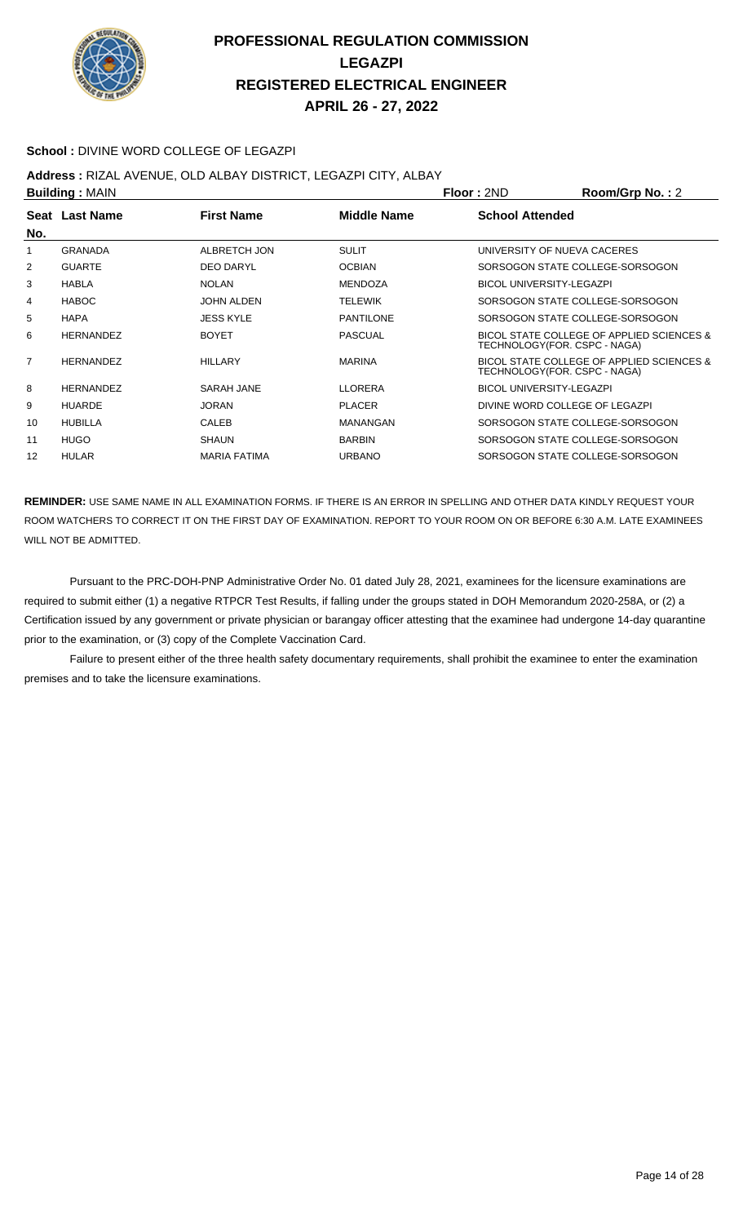

#### **School :** DIVINE WORD COLLEGE OF LEGAZPI

#### **Address :** RIZAL AVENUE, OLD ALBAY DISTRICT, LEGAZPI CITY, ALBAY

| <b>Building: MAIN</b> |                     |                  |                                 | Room/Grp No.: 2                           |
|-----------------------|---------------------|------------------|---------------------------------|-------------------------------------------|
| Seat Last Name        | <b>First Name</b>   | Middle Name      | <b>School Attended</b>          |                                           |
| <b>GRANADA</b>        | ALBRETCH JON        | <b>SULIT</b>     | UNIVERSITY OF NUEVA CACERES     |                                           |
| <b>GUARTE</b>         | <b>DEO DARYL</b>    | <b>OCBIAN</b>    |                                 | SORSOGON STATE COLLEGE-SORSOGON           |
| <b>HABLA</b>          | <b>NOLAN</b>        | <b>MENDOZA</b>   | <b>BICOL UNIVERSITY-LEGAZPI</b> |                                           |
| <b>HABOC</b>          | JOHN ALDEN          | <b>TELEWIK</b>   |                                 | SORSOGON STATE COLLEGE-SORSOGON           |
| <b>HAPA</b>           | <b>JESS KYLE</b>    | <b>PANTILONE</b> |                                 | SORSOGON STATE COLLEGE-SORSOGON           |
| <b>HERNANDEZ</b>      | <b>BOYET</b>        | <b>PASCUAL</b>   | TECHNOLOGY(FOR. CSPC - NAGA)    | BICOL STATE COLLEGE OF APPLIED SCIENCES & |
| <b>HERNANDEZ</b>      | HILLARY             | <b>MARINA</b>    | TECHNOLOGY(FOR. CSPC - NAGA)    | BICOL STATE COLLEGE OF APPLIED SCIENCES & |
| <b>HERNANDEZ</b>      | SARAH JANE          | <b>LLORERA</b>   | <b>BICOL UNIVERSITY-LEGAZPI</b> |                                           |
| <b>HUARDE</b>         | <b>JORAN</b>        | <b>PLACER</b>    | DIVINE WORD COLLEGE OF LEGAZPI  |                                           |
| <b>HUBILLA</b>        | <b>CALEB</b>        | MANANGAN         |                                 | SORSOGON STATE COLLEGE-SORSOGON           |
| <b>HUGO</b>           | <b>SHAUN</b>        | <b>BARBIN</b>    |                                 | SORSOGON STATE COLLEGE-SORSOGON           |
| <b>HULAR</b>          | <b>MARIA FATIMA</b> | <b>URBANO</b>    |                                 | SORSOGON STATE COLLEGE-SORSOGON           |
|                       |                     |                  |                                 | <b>Floor: 2ND</b>                         |

**REMINDER:** USE SAME NAME IN ALL EXAMINATION FORMS. IF THERE IS AN ERROR IN SPELLING AND OTHER DATA KINDLY REQUEST YOUR ROOM WATCHERS TO CORRECT IT ON THE FIRST DAY OF EXAMINATION. REPORT TO YOUR ROOM ON OR BEFORE 6:30 A.M. LATE EXAMINEES WILL NOT BE ADMITTED.

 Pursuant to the PRC-DOH-PNP Administrative Order No. 01 dated July 28, 2021, examinees for the licensure examinations are required to submit either (1) a negative RTPCR Test Results, if falling under the groups stated in DOH Memorandum 2020-258A, or (2) a Certification issued by any government or private physician or barangay officer attesting that the examinee had undergone 14-day quarantine prior to the examination, or (3) copy of the Complete Vaccination Card.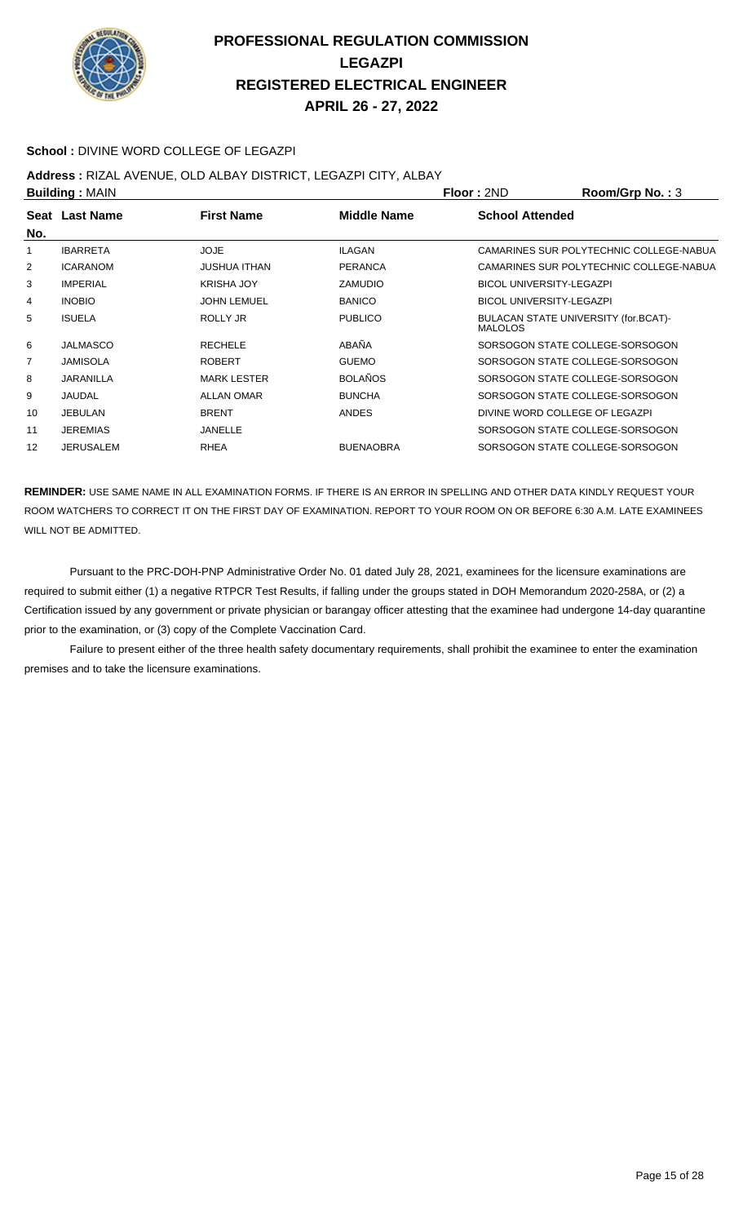

#### **School :** DIVINE WORD COLLEGE OF LEGAZPI

#### **Address :** RIZAL AVENUE, OLD ALBAY DISTRICT, LEGAZPI CITY, ALBAY

|     | <b>Building: MAIN</b> |                     |                  | <b>Floor: 2ND</b>               | Room/Grp No.: 3                         |
|-----|-----------------------|---------------------|------------------|---------------------------------|-----------------------------------------|
|     | Seat Last Name        | <b>First Name</b>   | Middle Name      | <b>School Attended</b>          |                                         |
| No. |                       |                     |                  |                                 |                                         |
| 1   | <b>IBARRETA</b>       | <b>JOJE</b>         | <b>ILAGAN</b>    |                                 | CAMARINES SUR POLYTECHNIC COLLEGE-NABUA |
| 2   | <b>ICARANOM</b>       | <b>JUSHUA ITHAN</b> | <b>PERANCA</b>   |                                 | CAMARINES SUR POLYTECHNIC COLLEGE-NABUA |
| 3   | <b>IMPERIAL</b>       | <b>KRISHA JOY</b>   | <b>ZAMUDIO</b>   | <b>BICOL UNIVERSITY-LEGAZPI</b> |                                         |
| 4   | <b>INOBIO</b>         | <b>JOHN LEMUEL</b>  | <b>BANICO</b>    | <b>BICOL UNIVERSITY-LEGAZPI</b> |                                         |
| 5   | <b>ISUELA</b>         | ROLLY JR            | <b>PUBLICO</b>   | <b>MALOLOS</b>                  | BULACAN STATE UNIVERSITY (for.BCAT)-    |
| 6   | JALMASCO              | <b>RECHELE</b>      | ABAÑA            |                                 | SORSOGON STATE COLLEGE-SORSOGON         |
| 7   | <b>JAMISOLA</b>       | <b>ROBERT</b>       | <b>GUEMO</b>     |                                 | SORSOGON STATE COLLEGE-SORSOGON         |
| 8   | <b>JARANILLA</b>      | <b>MARK LESTER</b>  | <b>BOLAÑOS</b>   |                                 | SORSOGON STATE COLLEGE-SORSOGON         |
| 9   | JAUDAL                | <b>ALLAN OMAR</b>   | <b>BUNCHA</b>    |                                 | SORSOGON STATE COLLEGE-SORSOGON         |
| 10  | <b>JEBULAN</b>        | <b>BRENT</b>        | <b>ANDES</b>     |                                 | DIVINE WORD COLLEGE OF LEGAZPI          |
| 11  | <b>JEREMIAS</b>       | <b>JANELLE</b>      |                  |                                 | SORSOGON STATE COLLEGE-SORSOGON         |
| 12  | <b>JERUSALEM</b>      | <b>RHEA</b>         | <b>BUENAOBRA</b> |                                 | SORSOGON STATE COLLEGE-SORSOGON         |

**REMINDER:** USE SAME NAME IN ALL EXAMINATION FORMS. IF THERE IS AN ERROR IN SPELLING AND OTHER DATA KINDLY REQUEST YOUR ROOM WATCHERS TO CORRECT IT ON THE FIRST DAY OF EXAMINATION. REPORT TO YOUR ROOM ON OR BEFORE 6:30 A.M. LATE EXAMINEES WILL NOT BE ADMITTED.

 Pursuant to the PRC-DOH-PNP Administrative Order No. 01 dated July 28, 2021, examinees for the licensure examinations are required to submit either (1) a negative RTPCR Test Results, if falling under the groups stated in DOH Memorandum 2020-258A, or (2) a Certification issued by any government or private physician or barangay officer attesting that the examinee had undergone 14-day quarantine prior to the examination, or (3) copy of the Complete Vaccination Card.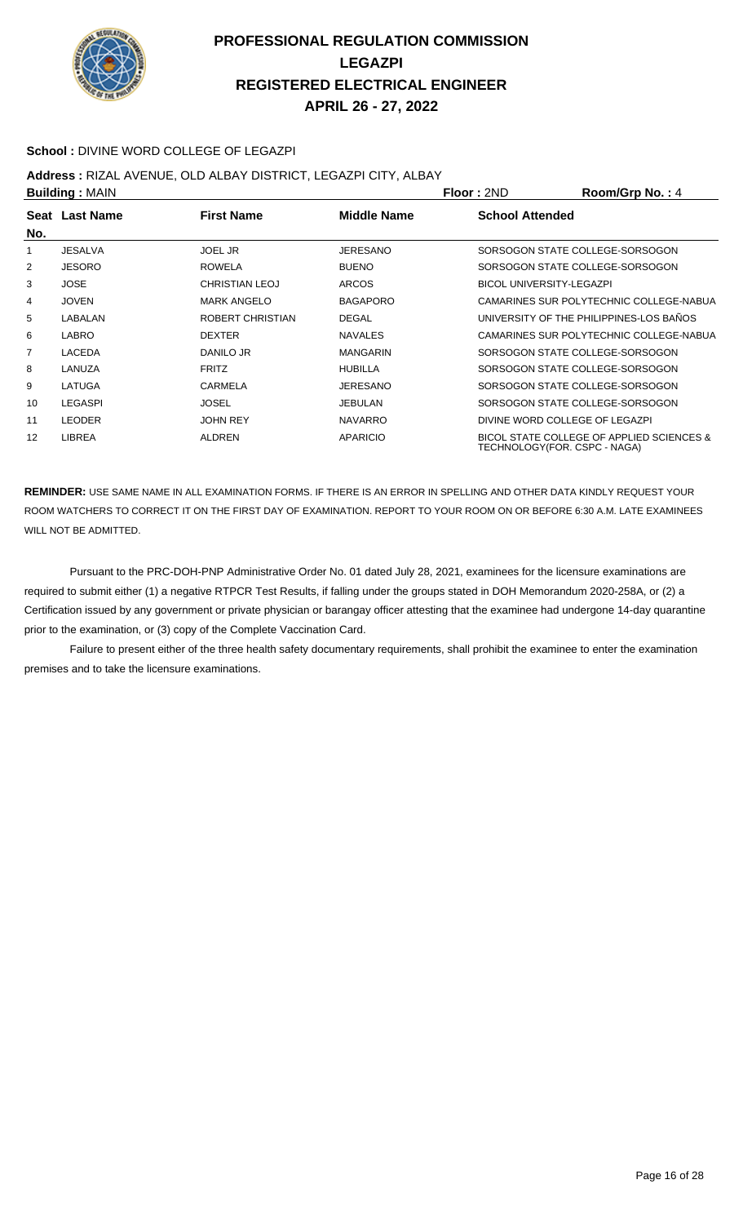

#### **School :** DIVINE WORD COLLEGE OF LEGAZPI

**Address :** RIZAL AVENUE, OLD ALBAY DISTRICT, LEGAZPI CITY, ALBAY

| <b>Building: MAIN</b> |                | Floor: 2ND            | Room/Grp No.: 4    |                                 |                                                                           |
|-----------------------|----------------|-----------------------|--------------------|---------------------------------|---------------------------------------------------------------------------|
| No.                   | Seat Last Name | <b>First Name</b>     | <b>Middle Name</b> | <b>School Attended</b>          |                                                                           |
| 1                     | <b>JESALVA</b> | <b>JOEL JR</b>        | <b>JERESANO</b>    |                                 | SORSOGON STATE COLLEGE-SORSOGON                                           |
| 2                     | <b>JESORO</b>  | <b>ROWELA</b>         | <b>BUENO</b>       |                                 | SORSOGON STATE COLLEGE-SORSOGON                                           |
| 3                     | <b>JOSE</b>    | <b>CHRISTIAN LEOJ</b> | <b>ARCOS</b>       | <b>BICOL UNIVERSITY-LEGAZPI</b> |                                                                           |
| 4                     | <b>JOVEN</b>   | <b>MARK ANGELO</b>    | <b>BAGAPORO</b>    |                                 | CAMARINES SUR POLYTECHNIC COLLEGE-NABUA                                   |
| 5                     | LABALAN        | ROBERT CHRISTIAN      | <b>DEGAL</b>       |                                 | UNIVERSITY OF THE PHILIPPINES-LOS BAÑOS                                   |
| 6                     | LABRO          | <b>DEXTER</b>         | <b>NAVALES</b>     |                                 | CAMARINES SUR POLYTECHNIC COLLEGE-NABUA                                   |
| 7                     | <b>LACEDA</b>  | DANILO JR             | <b>MANGARIN</b>    |                                 | SORSOGON STATE COLLEGE-SORSOGON                                           |
| 8                     | LANUZA         | <b>FRITZ</b>          | <b>HUBILLA</b>     |                                 | SORSOGON STATE COLLEGE-SORSOGON                                           |
| 9                     | LATUGA         | <b>CARMELA</b>        | JERESANO           |                                 | SORSOGON STATE COLLEGE-SORSOGON                                           |
| 10                    | <b>LEGASPI</b> | <b>JOSEL</b>          | JEBULAN            |                                 | SORSOGON STATE COLLEGE-SORSOGON                                           |
| 11                    | <b>LEODER</b>  | <b>JOHN REY</b>       | <b>NAVARRO</b>     |                                 | DIVINE WORD COLLEGE OF LEGAZPI                                            |
| 12                    | LIBREA         | <b>ALDREN</b>         | <b>APARICIO</b>    |                                 | BICOL STATE COLLEGE OF APPLIED SCIENCES &<br>TECHNOLOGY(FOR. CSPC - NAGA) |

**REMINDER:** USE SAME NAME IN ALL EXAMINATION FORMS. IF THERE IS AN ERROR IN SPELLING AND OTHER DATA KINDLY REQUEST YOUR ROOM WATCHERS TO CORRECT IT ON THE FIRST DAY OF EXAMINATION. REPORT TO YOUR ROOM ON OR BEFORE 6:30 A.M. LATE EXAMINEES WILL NOT BE ADMITTED.

 Pursuant to the PRC-DOH-PNP Administrative Order No. 01 dated July 28, 2021, examinees for the licensure examinations are required to submit either (1) a negative RTPCR Test Results, if falling under the groups stated in DOH Memorandum 2020-258A, or (2) a Certification issued by any government or private physician or barangay officer attesting that the examinee had undergone 14-day quarantine prior to the examination, or (3) copy of the Complete Vaccination Card.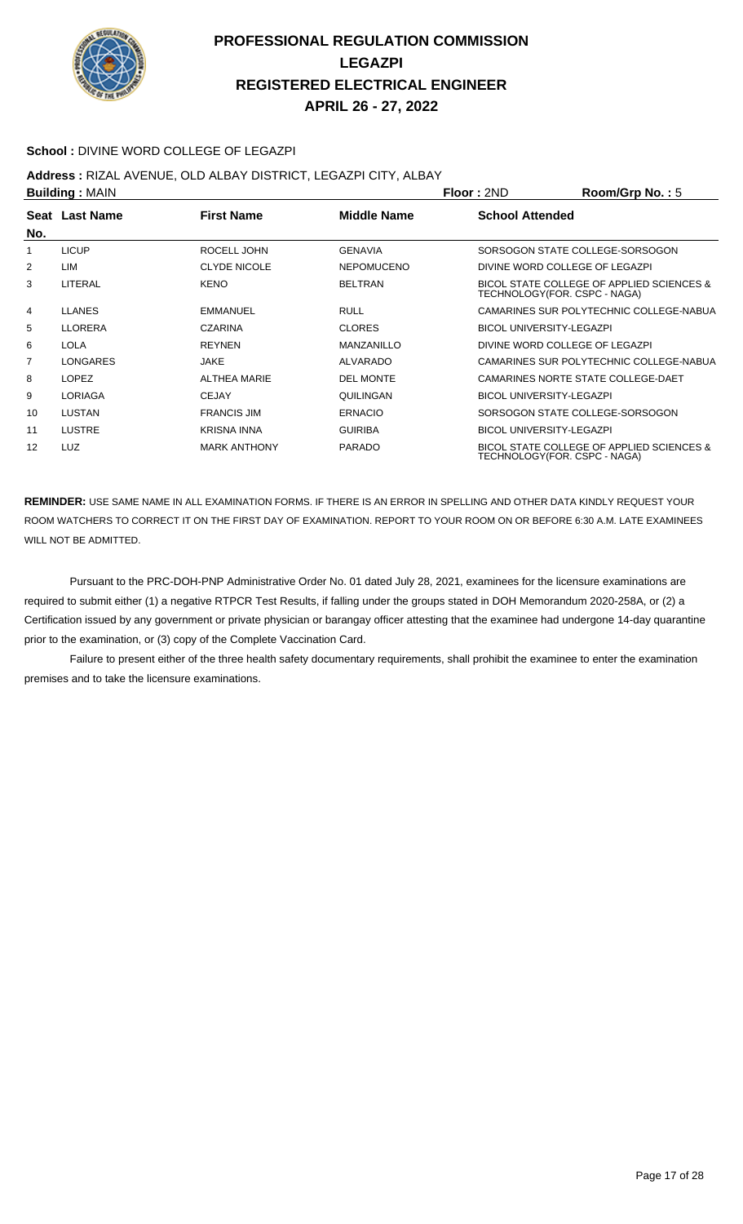

#### **School :** DIVINE WORD COLLEGE OF LEGAZPI

#### **Address :** RIZAL AVENUE, OLD ALBAY DISTRICT, LEGAZPI CITY, ALBAY

| <b>Building: MAIN</b> |                |                     | <b>Floor: 2ND</b>  | Room/Grp No.: 5                 |                                                                           |
|-----------------------|----------------|---------------------|--------------------|---------------------------------|---------------------------------------------------------------------------|
| No.                   | Seat Last Name | <b>First Name</b>   | <b>Middle Name</b> | <b>School Attended</b>          |                                                                           |
|                       | <b>LICUP</b>   | ROCELL JOHN         | <b>GENAVIA</b>     |                                 | SORSOGON STATE COLLEGE-SORSOGON                                           |
| 2                     | LIM            | <b>CLYDE NICOLE</b> | <b>NEPOMUCENO</b>  |                                 | DIVINE WORD COLLEGE OF LEGAZPI                                            |
| 3                     | LITERAL        | <b>KENO</b>         | <b>BELTRAN</b>     |                                 | BICOL STATE COLLEGE OF APPLIED SCIENCES &<br>TECHNOLOGY(FOR. CSPC - NAGA) |
| 4                     | <b>LLANES</b>  | <b>EMMANUEL</b>     | <b>RULL</b>        |                                 | CAMARINES SUR POLYTECHNIC COLLEGE-NABUA                                   |
| 5                     | <b>LLORERA</b> | <b>CZARINA</b>      | <b>CLORES</b>      | <b>BICOL UNIVERSITY-LEGAZPI</b> |                                                                           |
| 6                     | <b>LOLA</b>    | <b>REYNEN</b>       | MANZANILLO         |                                 | DIVINE WORD COLLEGE OF LEGAZPI                                            |
| $\overline{7}$        | LONGARES       | <b>JAKE</b>         | <b>ALVARADO</b>    |                                 | CAMARINES SUR POLYTECHNIC COLLEGE-NABUA                                   |
| 8                     | <b>LOPEZ</b>   | <b>ALTHEA MARIE</b> | <b>DEL MONTE</b>   |                                 | CAMARINES NORTE STATE COLLEGE-DAET                                        |
| 9                     | <b>LORIAGA</b> | <b>CEJAY</b>        | QUILINGAN          | <b>BICOL UNIVERSITY-LEGAZPI</b> |                                                                           |
| 10                    | <b>LUSTAN</b>  | <b>FRANCIS JIM</b>  | <b>ERNACIO</b>     |                                 | SORSOGON STATE COLLEGE-SORSOGON                                           |
| 11                    | <b>LUSTRE</b>  | <b>KRISNA INNA</b>  | <b>GUIRIBA</b>     | <b>BICOL UNIVERSITY-LEGAZPI</b> |                                                                           |
| 12                    | <b>LUZ</b>     | <b>MARK ANTHONY</b> | <b>PARADO</b>      |                                 | BICOL STATE COLLEGE OF APPLIED SCIENCES &<br>TECHNOLOGY(FOR. CSPC - NAGA) |

**REMINDER:** USE SAME NAME IN ALL EXAMINATION FORMS. IF THERE IS AN ERROR IN SPELLING AND OTHER DATA KINDLY REQUEST YOUR ROOM WATCHERS TO CORRECT IT ON THE FIRST DAY OF EXAMINATION. REPORT TO YOUR ROOM ON OR BEFORE 6:30 A.M. LATE EXAMINEES WILL NOT BE ADMITTED.

 Pursuant to the PRC-DOH-PNP Administrative Order No. 01 dated July 28, 2021, examinees for the licensure examinations are required to submit either (1) a negative RTPCR Test Results, if falling under the groups stated in DOH Memorandum 2020-258A, or (2) a Certification issued by any government or private physician or barangay officer attesting that the examinee had undergone 14-day quarantine prior to the examination, or (3) copy of the Complete Vaccination Card.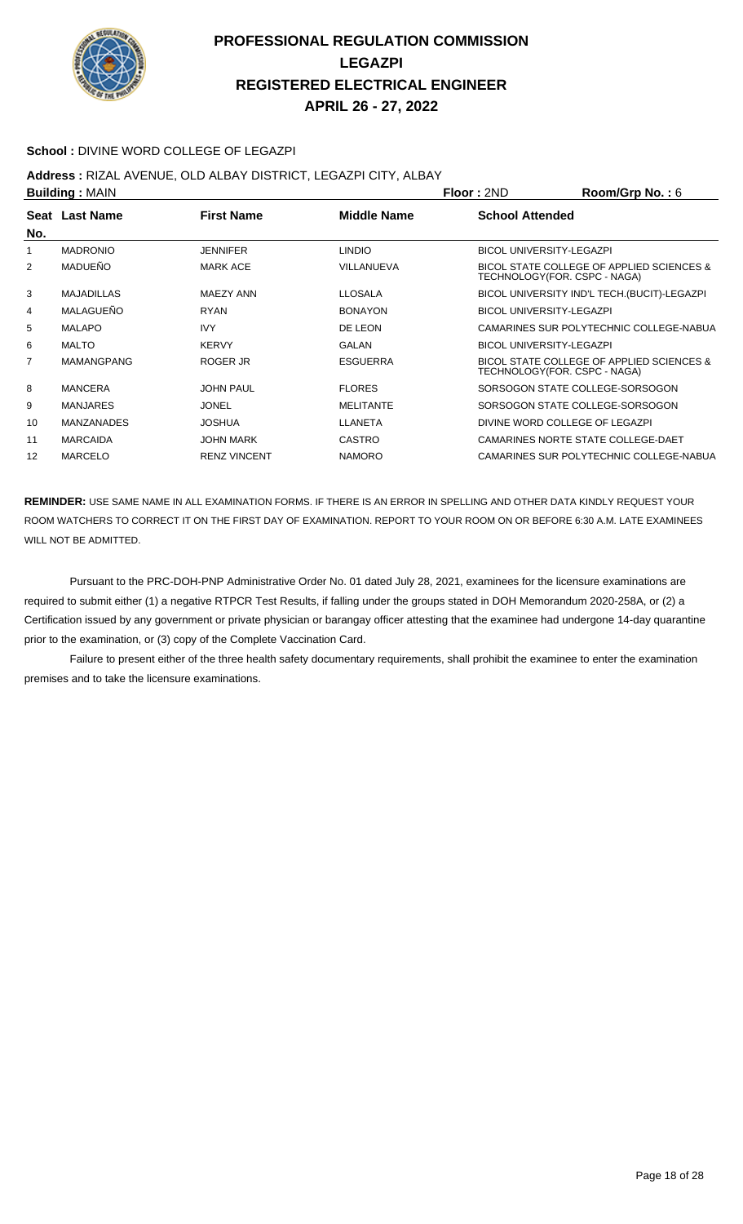

#### **School :** DIVINE WORD COLLEGE OF LEGAZPI

# **Address :** RIZAL AVENUE, OLD ALBAY DISTRICT, LEGAZPI CITY, ALBAY

| <b>Building: MAIN</b> |                   |                     |                  | <b>Floor: 2ND</b>               | Room/Grp No.: $6$                            |
|-----------------------|-------------------|---------------------|------------------|---------------------------------|----------------------------------------------|
| No.                   | Seat Last Name    | <b>First Name</b>   | Middle Name      | <b>School Attended</b>          |                                              |
|                       | <b>MADRONIO</b>   | <b>JENNIFER</b>     | <b>LINDIO</b>    | <b>BICOL UNIVERSITY-LEGAZPI</b> |                                              |
| 2                     | <b>MADUEÑO</b>    | <b>MARK ACE</b>     | VILLANUEVA       | TECHNOLOGY(FOR. CSPC - NAGA)    | BICOL STATE COLLEGE OF APPLIED SCIENCES &    |
| 3                     | <b>MAJADILLAS</b> | MAEZY ANN           | <b>LLOSALA</b>   |                                 | BICOL UNIVERSITY IND'L TECH. (BUCIT)-LEGAZPI |
| 4                     | MALAGUEÑO         | <b>RYAN</b>         | <b>BONAYON</b>   | <b>BICOL UNIVERSITY-LEGAZPI</b> |                                              |
| 5                     | <b>MALAPO</b>     | <b>IVY</b>          | DE LEON          |                                 | CAMARINES SUR POLYTECHNIC COLLEGE-NABUA      |
| 6                     | <b>MALTO</b>      | <b>KERVY</b>        | <b>GALAN</b>     | <b>BICOL UNIVERSITY-LEGAZPI</b> |                                              |
| $\overline{7}$        | <b>MAMANGPANG</b> | ROGER JR            | <b>ESGUERRA</b>  | TECHNOLOGY(FOR. CSPC - NAGA)    | BICOL STATE COLLEGE OF APPLIED SCIENCES &    |
| 8                     | <b>MANCERA</b>    | <b>JOHN PAUL</b>    | <b>FLORES</b>    |                                 | SORSOGON STATE COLLEGE-SORSOGON              |
| 9                     | <b>MANJARES</b>   | <b>JONEL</b>        | <b>MELITANTE</b> |                                 | SORSOGON STATE COLLEGE-SORSOGON              |
| 10                    | <b>MANZANADES</b> | <b>JOSHUA</b>       | LLANETA          | DIVINE WORD COLLEGE OF LEGAZPI  |                                              |
| 11                    | <b>MARCAIDA</b>   | <b>JOHN MARK</b>    | <b>CASTRO</b>    |                                 | CAMARINES NORTE STATE COLLEGE-DAET           |
| 12                    | <b>MARCELO</b>    | <b>RENZ VINCENT</b> | <b>NAMORO</b>    |                                 | CAMARINES SUR POLYTECHNIC COLLEGE-NABUA      |

**REMINDER:** USE SAME NAME IN ALL EXAMINATION FORMS. IF THERE IS AN ERROR IN SPELLING AND OTHER DATA KINDLY REQUEST YOUR ROOM WATCHERS TO CORRECT IT ON THE FIRST DAY OF EXAMINATION. REPORT TO YOUR ROOM ON OR BEFORE 6:30 A.M. LATE EXAMINEES WILL NOT BE ADMITTED.

 Pursuant to the PRC-DOH-PNP Administrative Order No. 01 dated July 28, 2021, examinees for the licensure examinations are required to submit either (1) a negative RTPCR Test Results, if falling under the groups stated in DOH Memorandum 2020-258A, or (2) a Certification issued by any government or private physician or barangay officer attesting that the examinee had undergone 14-day quarantine prior to the examination, or (3) copy of the Complete Vaccination Card.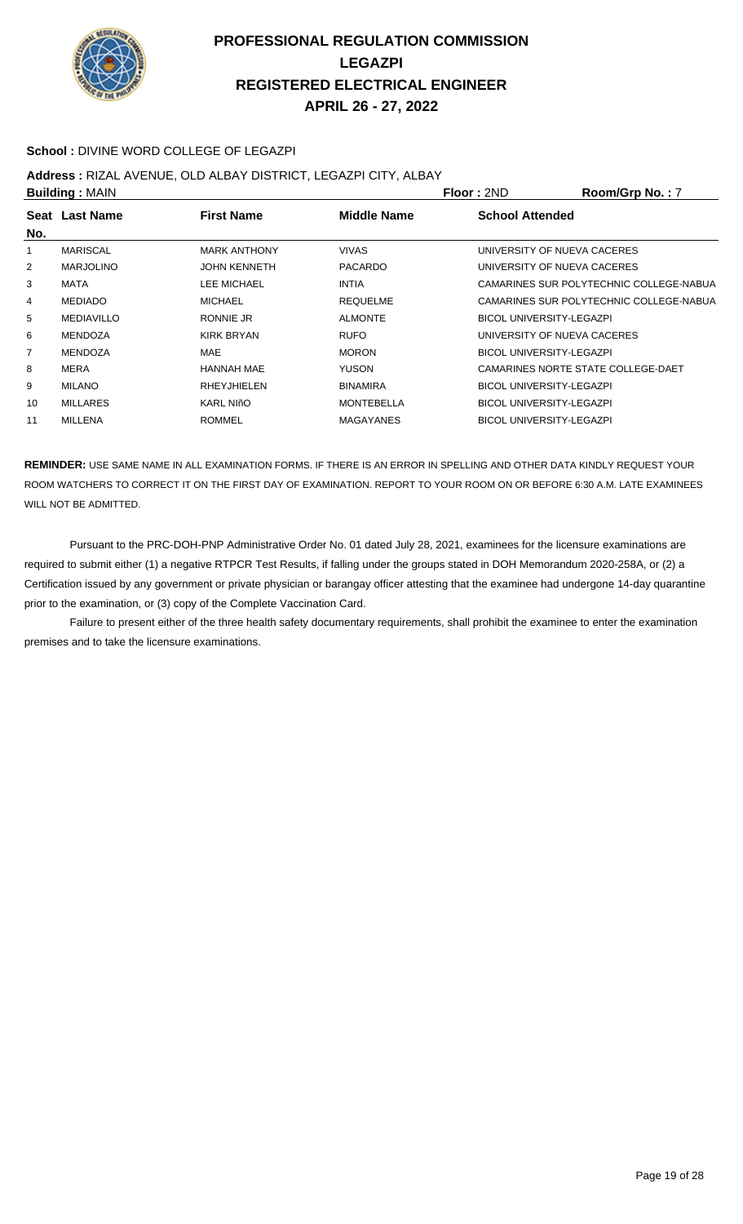

#### **School :** DIVINE WORD COLLEGE OF LEGAZPI

#### **Address :** RIZAL AVENUE, OLD ALBAY DISTRICT, LEGAZPI CITY, ALBAY

|     | <b>Building: MAIN</b> |                     |                   | <b>Floor: 2ND</b>               | Room/Grp No.: 7                         |
|-----|-----------------------|---------------------|-------------------|---------------------------------|-----------------------------------------|
|     | Seat Last Name        | <b>First Name</b>   | Middle Name       | <b>School Attended</b>          |                                         |
| No. |                       |                     |                   |                                 |                                         |
| 1   | <b>MARISCAL</b>       | <b>MARK ANTHONY</b> | <b>VIVAS</b>      |                                 | UNIVERSITY OF NUEVA CACERES             |
| 2   | <b>MARJOLINO</b>      | <b>JOHN KENNETH</b> | <b>PACARDO</b>    |                                 | UNIVERSITY OF NUEVA CACERES             |
| 3   | MATA                  | LEE MICHAEL         | <b>INTIA</b>      |                                 | CAMARINES SUR POLYTECHNIC COLLEGE-NABUA |
| 4   | <b>MEDIADO</b>        | <b>MICHAEL</b>      | <b>REQUELME</b>   |                                 | CAMARINES SUR POLYTECHNIC COLLEGE-NABUA |
| 5   | <b>MEDIAVILLO</b>     | RONNIE JR           | <b>ALMONTE</b>    | <b>BICOL UNIVERSITY-LEGAZPI</b> |                                         |
| 6   | <b>MENDOZA</b>        | KIRK BRYAN          | <b>RUFO</b>       |                                 | UNIVERSITY OF NUEVA CACERES             |
| 7   | <b>MENDOZA</b>        | MAE                 | <b>MORON</b>      | <b>BICOL UNIVERSITY-LEGAZPI</b> |                                         |
| 8   | MERA                  | <b>HANNAH MAE</b>   | <b>YUSON</b>      |                                 | CAMARINES NORTE STATE COLLEGE-DAET      |
| 9   | <b>MILANO</b>         | RHEYJHIELEN         | <b>BINAMIRA</b>   |                                 | <b>BICOL UNIVERSITY-LEGAZPI</b>         |
| 10  | <b>MILLARES</b>       | <b>KARL NIñO</b>    | <b>MONTEBELLA</b> |                                 | <b>BICOL UNIVERSITY-LEGAZPI</b>         |
| 11  | <b>MILLENA</b>        | <b>ROMMEL</b>       | <b>MAGAYANES</b>  | <b>BICOL UNIVERSITY-LEGAZPI</b> |                                         |
|     |                       |                     |                   |                                 |                                         |

**REMINDER:** USE SAME NAME IN ALL EXAMINATION FORMS. IF THERE IS AN ERROR IN SPELLING AND OTHER DATA KINDLY REQUEST YOUR ROOM WATCHERS TO CORRECT IT ON THE FIRST DAY OF EXAMINATION. REPORT TO YOUR ROOM ON OR BEFORE 6:30 A.M. LATE EXAMINEES WILL NOT BE ADMITTED.

 Pursuant to the PRC-DOH-PNP Administrative Order No. 01 dated July 28, 2021, examinees for the licensure examinations are required to submit either (1) a negative RTPCR Test Results, if falling under the groups stated in DOH Memorandum 2020-258A, or (2) a Certification issued by any government or private physician or barangay officer attesting that the examinee had undergone 14-day quarantine prior to the examination, or (3) copy of the Complete Vaccination Card.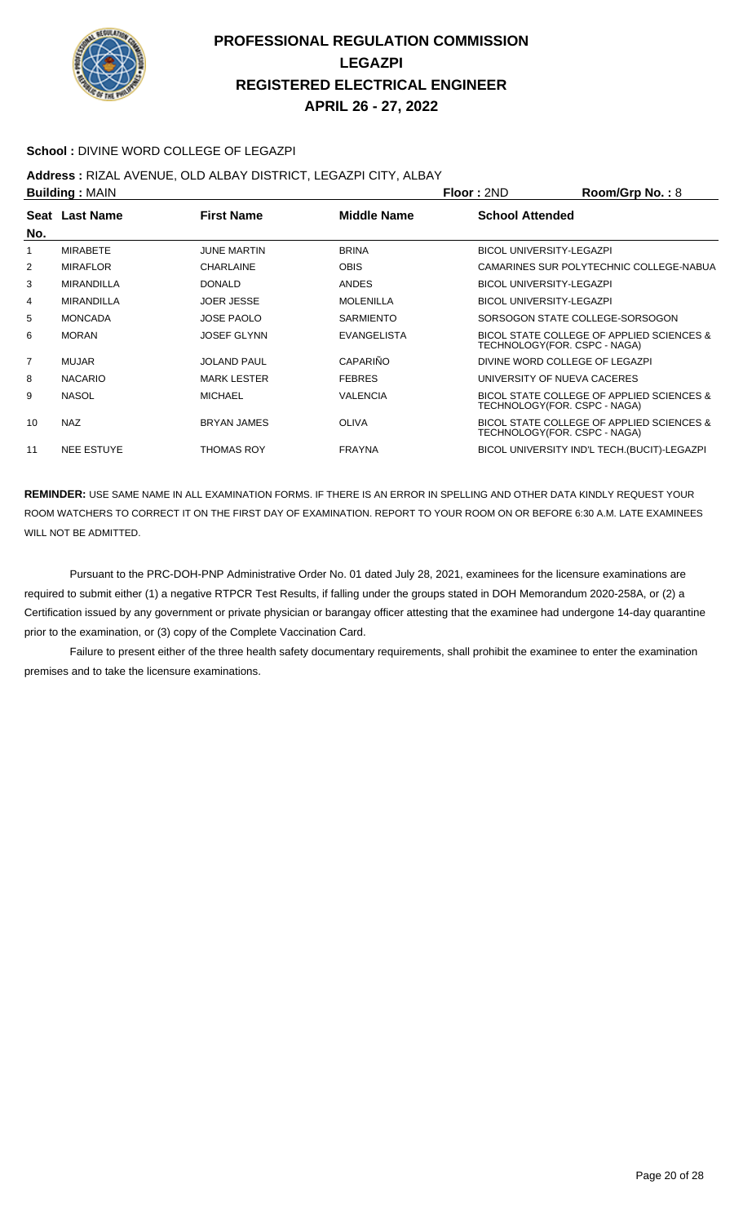

#### **School :** DIVINE WORD COLLEGE OF LEGAZPI

**Address :** RIZAL AVENUE, OLD ALBAY DISTRICT, LEGAZPI CITY, ALBAY

| <b>Building: MAIN</b> |                   |                    |                    | Floor: 2ND                      | Room/Grp No.: 8                              |
|-----------------------|-------------------|--------------------|--------------------|---------------------------------|----------------------------------------------|
| No.                   | Seat Last Name    | <b>First Name</b>  | Middle Name        | <b>School Attended</b>          |                                              |
|                       | <b>MIRABETE</b>   | <b>JUNE MARTIN</b> | <b>BRINA</b>       | <b>BICOL UNIVERSITY-LEGAZPI</b> |                                              |
| 2                     | <b>MIRAFLOR</b>   | <b>CHARLAINE</b>   | <b>OBIS</b>        |                                 | CAMARINES SUR POLYTECHNIC COLLEGE-NABUA      |
| 3                     | <b>MIRANDILLA</b> | <b>DONALD</b>      | <b>ANDES</b>       | <b>BICOL UNIVERSITY-LEGAZPI</b> |                                              |
| 4                     | <b>MIRANDILLA</b> | <b>JOER JESSE</b>  | <b>MOLENILLA</b>   | <b>BICOL UNIVERSITY-LEGAZPI</b> |                                              |
| 5                     | <b>MONCADA</b>    | <b>JOSE PAOLO</b>  | <b>SARMIENTO</b>   |                                 | SORSOGON STATE COLLEGE-SORSOGON              |
| 6                     | <b>MORAN</b>      | <b>JOSEF GLYNN</b> | <b>EVANGELISTA</b> | TECHNOLOGY(FOR. CSPC - NAGA)    | BICOL STATE COLLEGE OF APPLIED SCIENCES &    |
| $\overline{7}$        | <b>MUJAR</b>      | <b>JOLAND PAUL</b> | CAPARIÑO           | DIVINE WORD COLLEGE OF LEGAZPI  |                                              |
| 8                     | <b>NACARIO</b>    | <b>MARK LESTER</b> | <b>FEBRES</b>      | UNIVERSITY OF NUEVA CACERES     |                                              |
| 9                     | <b>NASOL</b>      | <b>MICHAEL</b>     | <b>VALENCIA</b>    | TECHNOLOGY(FOR. CSPC - NAGA)    | BICOL STATE COLLEGE OF APPLIED SCIENCES &    |
| 10                    | <b>NAZ</b>        | <b>BRYAN JAMES</b> | <b>OLIVA</b>       | TECHNOLOGY(FOR. CSPC - NAGA)    | BICOL STATE COLLEGE OF APPLIED SCIENCES &    |
| 11                    | <b>NEE ESTUYE</b> | <b>THOMAS ROY</b>  | <b>FRAYNA</b>      |                                 | BICOL UNIVERSITY IND'L TECH. (BUCIT)-LEGAZPI |
|                       |                   |                    |                    |                                 |                                              |

**REMINDER:** USE SAME NAME IN ALL EXAMINATION FORMS. IF THERE IS AN ERROR IN SPELLING AND OTHER DATA KINDLY REQUEST YOUR ROOM WATCHERS TO CORRECT IT ON THE FIRST DAY OF EXAMINATION. REPORT TO YOUR ROOM ON OR BEFORE 6:30 A.M. LATE EXAMINEES WILL NOT BE ADMITTED.

 Pursuant to the PRC-DOH-PNP Administrative Order No. 01 dated July 28, 2021, examinees for the licensure examinations are required to submit either (1) a negative RTPCR Test Results, if falling under the groups stated in DOH Memorandum 2020-258A, or (2) a Certification issued by any government or private physician or barangay officer attesting that the examinee had undergone 14-day quarantine prior to the examination, or (3) copy of the Complete Vaccination Card.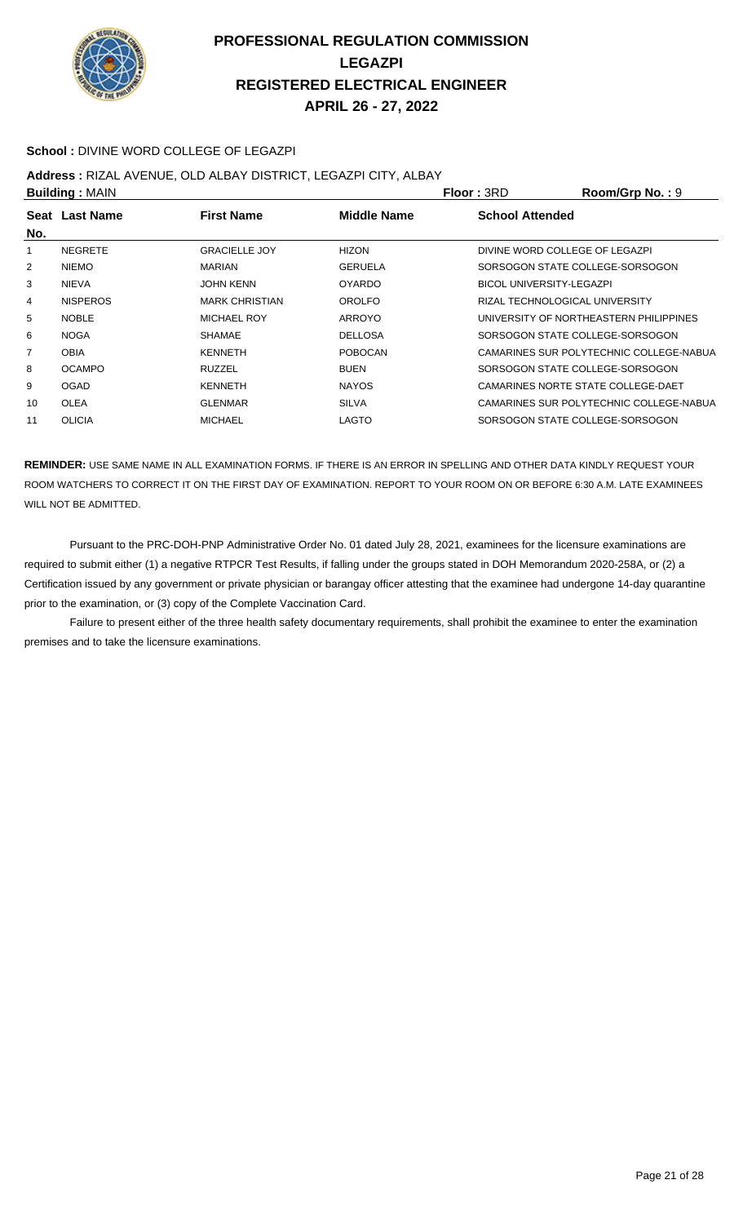

#### **School :** DIVINE WORD COLLEGE OF LEGAZPI

#### **Address :** RIZAL AVENUE, OLD ALBAY DISTRICT, LEGAZPI CITY, ALBAY

|                 |                                         |                | Floor: 3RD             | Room/Grp No.: 9                         |
|-----------------|-----------------------------------------|----------------|------------------------|-----------------------------------------|
|                 | <b>First Name</b>                       | Middle Name    | <b>School Attended</b> |                                         |
|                 |                                         |                |                        |                                         |
| <b>NEGRETE</b>  | <b>GRACIELLE JOY</b>                    | <b>HIZON</b>   |                        | DIVINE WORD COLLEGE OF LEGAZPI          |
| <b>NIEMO</b>    | <b>MARIAN</b>                           | <b>GERUELA</b> |                        | SORSOGON STATE COLLEGE-SORSOGON         |
| <b>NIEVA</b>    | <b>JOHN KENN</b>                        | <b>OYARDO</b>  |                        | <b>BICOL UNIVERSITY-LEGAZPI</b>         |
| <b>NISPEROS</b> | <b>MARK CHRISTIAN</b>                   | OROLFO         |                        | RIZAL TECHNOLOGICAL UNIVERSITY          |
| <b>NOBLE</b>    | <b>MICHAEL ROY</b>                      | ARROYO         |                        | UNIVERSITY OF NORTHEASTERN PHILIPPINES  |
| <b>NOGA</b>     | <b>SHAMAE</b>                           | <b>DELLOSA</b> |                        | SORSOGON STATE COLLEGE-SORSOGON         |
| <b>OBIA</b>     | <b>KENNETH</b>                          | <b>POBOCAN</b> |                        | CAMARINES SUR POLYTECHNIC COLLEGE-NABUA |
| <b>OCAMPO</b>   | <b>RUZZEL</b>                           | <b>BUEN</b>    |                        | SORSOGON STATE COLLEGE-SORSOGON         |
| <b>OGAD</b>     | <b>KENNETH</b>                          | <b>NAYOS</b>   |                        | CAMARINES NORTE STATE COLLEGE-DAET      |
| <b>OLEA</b>     | <b>GLENMAR</b>                          | <b>SILVA</b>   |                        | CAMARINES SUR POLYTECHNIC COLLEGE-NABUA |
| <b>OLICIA</b>   | <b>MICHAEL</b>                          | LAGTO          |                        | SORSOGON STATE COLLEGE-SORSOGON         |
|                 | <b>Building: MAIN</b><br>Seat Last Name |                |                        |                                         |

**REMINDER:** USE SAME NAME IN ALL EXAMINATION FORMS. IF THERE IS AN ERROR IN SPELLING AND OTHER DATA KINDLY REQUEST YOUR ROOM WATCHERS TO CORRECT IT ON THE FIRST DAY OF EXAMINATION. REPORT TO YOUR ROOM ON OR BEFORE 6:30 A.M. LATE EXAMINEES WILL NOT BE ADMITTED.

 Pursuant to the PRC-DOH-PNP Administrative Order No. 01 dated July 28, 2021, examinees for the licensure examinations are required to submit either (1) a negative RTPCR Test Results, if falling under the groups stated in DOH Memorandum 2020-258A, or (2) a Certification issued by any government or private physician or barangay officer attesting that the examinee had undergone 14-day quarantine prior to the examination, or (3) copy of the Complete Vaccination Card.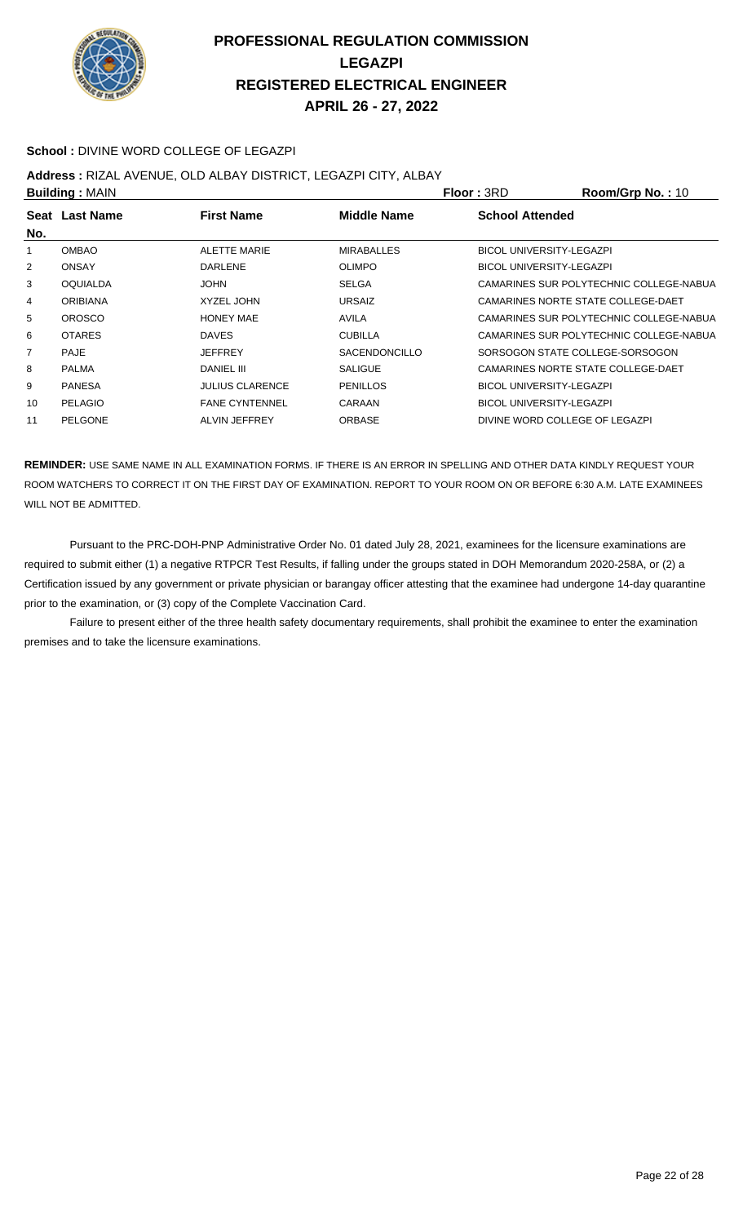

#### **School :** DIVINE WORD COLLEGE OF LEGAZPI

**Address :** RIZAL AVENUE, OLD ALBAY DISTRICT, LEGAZPI CITY, ALBAY

|                | <b>Building: MAIN</b> |                        |                      | Floor: 3RD                      | Room/Grp No.: 10                        |
|----------------|-----------------------|------------------------|----------------------|---------------------------------|-----------------------------------------|
|                | Seat Last Name        | <b>First Name</b>      | Middle Name          | <b>School Attended</b>          |                                         |
| No.            |                       |                        |                      |                                 |                                         |
|                | <b>OMBAO</b>          | <b>ALETTE MARIE</b>    | <b>MIRABALLES</b>    | <b>BICOL UNIVERSITY-LEGAZPI</b> |                                         |
| $\overline{2}$ | <b>ONSAY</b>          | <b>DARLENE</b>         | <b>OLIMPO</b>        | <b>BICOL UNIVERSITY-LEGAZPI</b> |                                         |
| 3              | <b>OQUIALDA</b>       | <b>JOHN</b>            | <b>SELGA</b>         |                                 | CAMARINES SUR POLYTECHNIC COLLEGE-NABUA |
| 4              | <b>ORIBIANA</b>       | <b>XYZEL JOHN</b>      | <b>URSAIZ</b>        |                                 | CAMARINES NORTE STATE COLLEGE-DAET      |
| 5              | <b>OROSCO</b>         | <b>HONEY MAE</b>       | <b>AVILA</b>         |                                 | CAMARINES SUR POLYTECHNIC COLLEGE-NABUA |
| 6              | <b>OTARES</b>         | <b>DAVES</b>           | <b>CUBILLA</b>       |                                 | CAMARINES SUR POLYTECHNIC COLLEGE-NABUA |
| $\overline{7}$ | <b>PAJE</b>           | <b>JEFFREY</b>         | <b>SACENDONCILLO</b> |                                 | SORSOGON STATE COLLEGE-SORSOGON         |
| 8              | <b>PALMA</b>          | <b>DANIEL III</b>      | <b>SALIGUE</b>       |                                 | CAMARINES NORTE STATE COLLEGE-DAET      |
| 9              | <b>PANESA</b>         | <b>JULIUS CLARENCE</b> | PENILLOS             | <b>BICOL UNIVERSITY-LEGAZPI</b> |                                         |
| 10             | PELAGIO               | <b>FANE CYNTENNEL</b>  | CARAAN               | <b>BICOL UNIVERSITY-LEGAZPI</b> |                                         |
| 11             | PELGONE               | ALVIN JEFFREY          | <b>ORBASE</b>        |                                 | DIVINE WORD COLLEGE OF LEGAZPI          |

**REMINDER:** USE SAME NAME IN ALL EXAMINATION FORMS. IF THERE IS AN ERROR IN SPELLING AND OTHER DATA KINDLY REQUEST YOUR ROOM WATCHERS TO CORRECT IT ON THE FIRST DAY OF EXAMINATION. REPORT TO YOUR ROOM ON OR BEFORE 6:30 A.M. LATE EXAMINEES WILL NOT BE ADMITTED.

 Pursuant to the PRC-DOH-PNP Administrative Order No. 01 dated July 28, 2021, examinees for the licensure examinations are required to submit either (1) a negative RTPCR Test Results, if falling under the groups stated in DOH Memorandum 2020-258A, or (2) a Certification issued by any government or private physician or barangay officer attesting that the examinee had undergone 14-day quarantine prior to the examination, or (3) copy of the Complete Vaccination Card.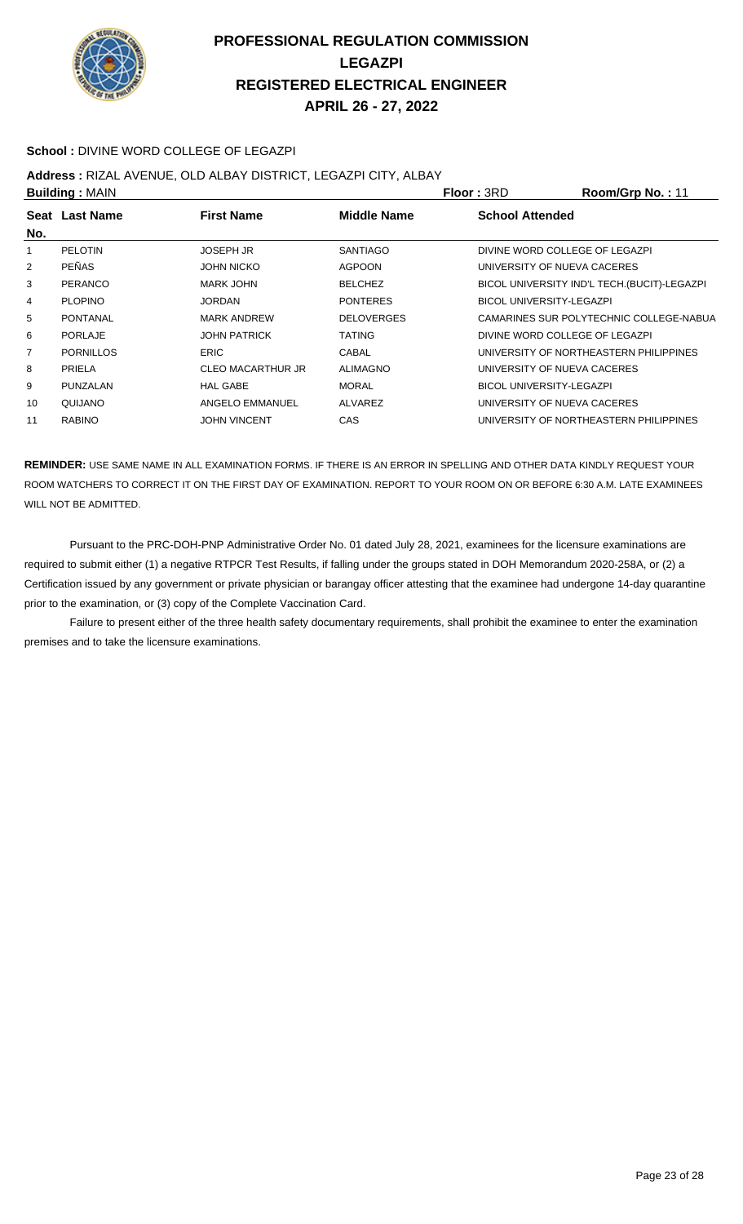

#### **School :** DIVINE WORD COLLEGE OF LEGAZPI

**Address :** RIZAL AVENUE, OLD ALBAY DISTRICT, LEGAZPI CITY, ALBAY

| <b>Building: MAIN</b> |                  |                          | Floor: 3RD        | Room/Grp No.: 11                |                                              |
|-----------------------|------------------|--------------------------|-------------------|---------------------------------|----------------------------------------------|
|                       | Seat Last Name   | <b>First Name</b>        | Middle Name       | <b>School Attended</b>          |                                              |
| No.                   |                  |                          |                   |                                 |                                              |
| 1                     | <b>PELOTIN</b>   | <b>JOSEPH JR</b>         | <b>SANTIAGO</b>   |                                 | DIVINE WORD COLLEGE OF LEGAZPI               |
| $\overline{2}$        | <b>PEÑAS</b>     | <b>JOHN NICKO</b>        | <b>AGPOON</b>     |                                 | UNIVERSITY OF NUEVA CACERES                  |
| 3                     | PERANCO          | MARK JOHN                | <b>BELCHEZ</b>    |                                 | BICOL UNIVERSITY IND'L TECH. (BUCIT)-LEGAZPI |
| 4                     | <b>PLOPINO</b>   | <b>JORDAN</b>            | <b>PONTERES</b>   | BICOL UNIVERSITY-LEGAZPI        |                                              |
| 5                     | PONTANAL         | <b>MARK ANDREW</b>       | <b>DELOVERGES</b> |                                 | CAMARINES SUR POLYTECHNIC COLLEGE-NABUA      |
| 6                     | PORLAJE          | <b>JOHN PATRICK</b>      | <b>TATING</b>     |                                 | DIVINE WORD COLLEGE OF LEGAZPI               |
| 7                     | <b>PORNILLOS</b> | <b>ERIC</b>              | CABAL             |                                 | UNIVERSITY OF NORTHEASTERN PHILIPPINES       |
| 8                     | <b>PRIELA</b>    | <b>CLEO MACARTHUR JR</b> | <b>ALIMAGNO</b>   |                                 | UNIVERSITY OF NUEVA CACERES                  |
| 9                     | PUNZALAN         | <b>HAL GABE</b>          | <b>MORAL</b>      | <b>BICOL UNIVERSITY-LEGAZPI</b> |                                              |
| 10                    | QUIJANO          | ANGELO EMMANUEL          | ALVAREZ           |                                 | UNIVERSITY OF NUEVA CACERES                  |
| 11                    | <b>RABINO</b>    | <b>JOHN VINCENT</b>      | CAS               |                                 | UNIVERSITY OF NORTHEASTERN PHILIPPINES       |

**REMINDER:** USE SAME NAME IN ALL EXAMINATION FORMS. IF THERE IS AN ERROR IN SPELLING AND OTHER DATA KINDLY REQUEST YOUR ROOM WATCHERS TO CORRECT IT ON THE FIRST DAY OF EXAMINATION. REPORT TO YOUR ROOM ON OR BEFORE 6:30 A.M. LATE EXAMINEES WILL NOT BE ADMITTED.

 Pursuant to the PRC-DOH-PNP Administrative Order No. 01 dated July 28, 2021, examinees for the licensure examinations are required to submit either (1) a negative RTPCR Test Results, if falling under the groups stated in DOH Memorandum 2020-258A, or (2) a Certification issued by any government or private physician or barangay officer attesting that the examinee had undergone 14-day quarantine prior to the examination, or (3) copy of the Complete Vaccination Card.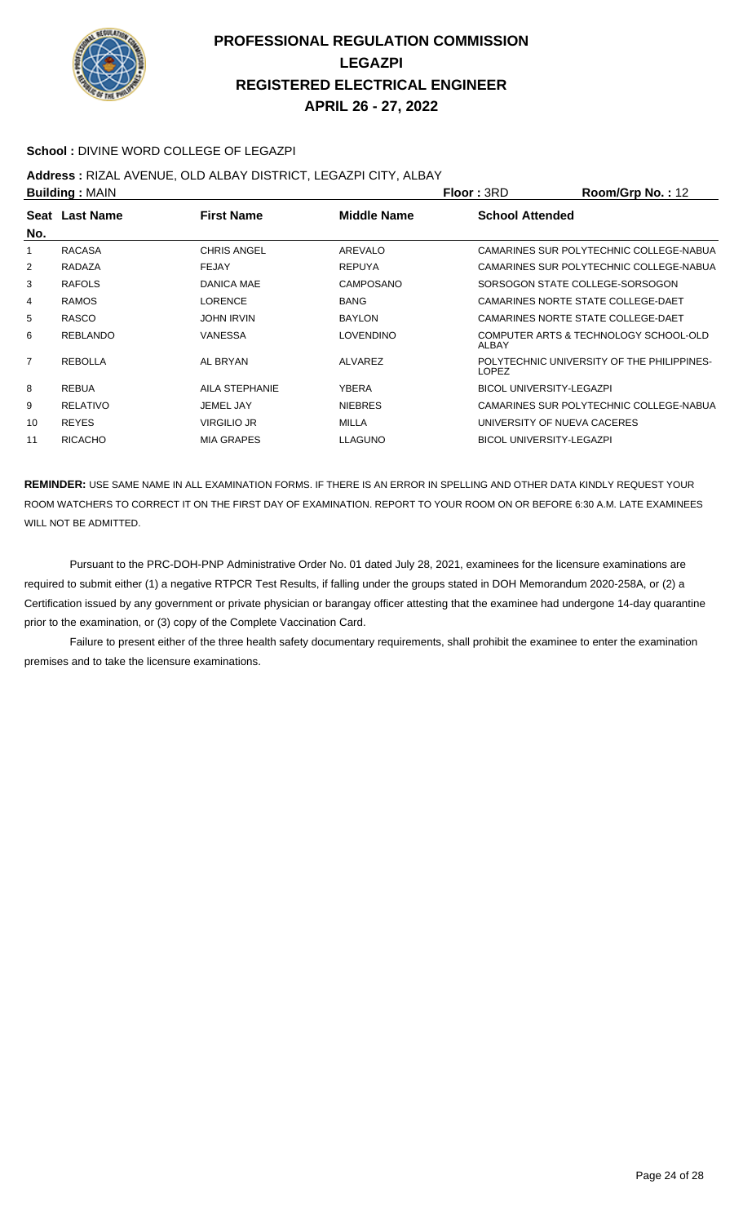

#### **School :** DIVINE WORD COLLEGE OF LEGAZPI

#### **Address :** RIZAL AVENUE, OLD ALBAY DISTRICT, LEGAZPI CITY, ALBAY

|                | <b>Building: MAIN</b> |                    |                    | Floor: 3RD                      | Room/Grp No.: 12                           |
|----------------|-----------------------|--------------------|--------------------|---------------------------------|--------------------------------------------|
| No.            | Seat Last Name        | <b>First Name</b>  | <b>Middle Name</b> | <b>School Attended</b>          |                                            |
| 1              | <b>RACASA</b>         | <b>CHRIS ANGEL</b> | AREVALO            |                                 | CAMARINES SUR POLYTECHNIC COLLEGE-NABUA    |
| 2              | RADAZA                | <b>FEJAY</b>       | <b>REPUYA</b>      |                                 | CAMARINES SUR POLYTECHNIC COLLEGE-NABUA    |
| 3              | <b>RAFOLS</b>         | <b>DANICA MAE</b>  | CAMPOSANO          |                                 | SORSOGON STATE COLLEGE-SORSOGON            |
| 4              | <b>RAMOS</b>          | <b>LORENCE</b>     | <b>BANG</b>        |                                 | CAMARINES NORTE STATE COLLEGE-DAET         |
| 5              | RASCO                 | <b>JOHN IRVIN</b>  | <b>BAYLON</b>      |                                 | CAMARINES NORTE STATE COLLEGE-DAET         |
| 6              | <b>REBLANDO</b>       | VANESSA            | <b>LOVENDINO</b>   | ALBAY                           | COMPUTER ARTS & TECHNOLOGY SCHOOL-OLD      |
| $\overline{7}$ | <b>REBOLLA</b>        | AL BRYAN           | ALVAREZ            | LOPEZ                           | POLYTECHNIC UNIVERSITY OF THE PHILIPPINES- |
| 8              | <b>REBUA</b>          | AILA STEPHANIE     | YBERA              | <b>BICOL UNIVERSITY-LEGAZPI</b> |                                            |
| 9              | RELATIVO              | JEMEL JAY          | <b>NIEBRES</b>     |                                 | CAMARINES SUR POLYTECHNIC COLLEGE-NABUA    |
| 10             | <b>REYES</b>          | <b>VIRGILIO JR</b> | <b>MILLA</b>       | UNIVERSITY OF NUEVA CACERES     |                                            |
| 11             | <b>RICACHO</b>        | <b>MIA GRAPES</b>  | <b>LLAGUNO</b>     | <b>BICOL UNIVERSITY-LEGAZPI</b> |                                            |
|                |                       |                    |                    |                                 |                                            |

**REMINDER:** USE SAME NAME IN ALL EXAMINATION FORMS. IF THERE IS AN ERROR IN SPELLING AND OTHER DATA KINDLY REQUEST YOUR ROOM WATCHERS TO CORRECT IT ON THE FIRST DAY OF EXAMINATION. REPORT TO YOUR ROOM ON OR BEFORE 6:30 A.M. LATE EXAMINEES WILL NOT BE ADMITTED.

 Pursuant to the PRC-DOH-PNP Administrative Order No. 01 dated July 28, 2021, examinees for the licensure examinations are required to submit either (1) a negative RTPCR Test Results, if falling under the groups stated in DOH Memorandum 2020-258A, or (2) a Certification issued by any government or private physician or barangay officer attesting that the examinee had undergone 14-day quarantine prior to the examination, or (3) copy of the Complete Vaccination Card.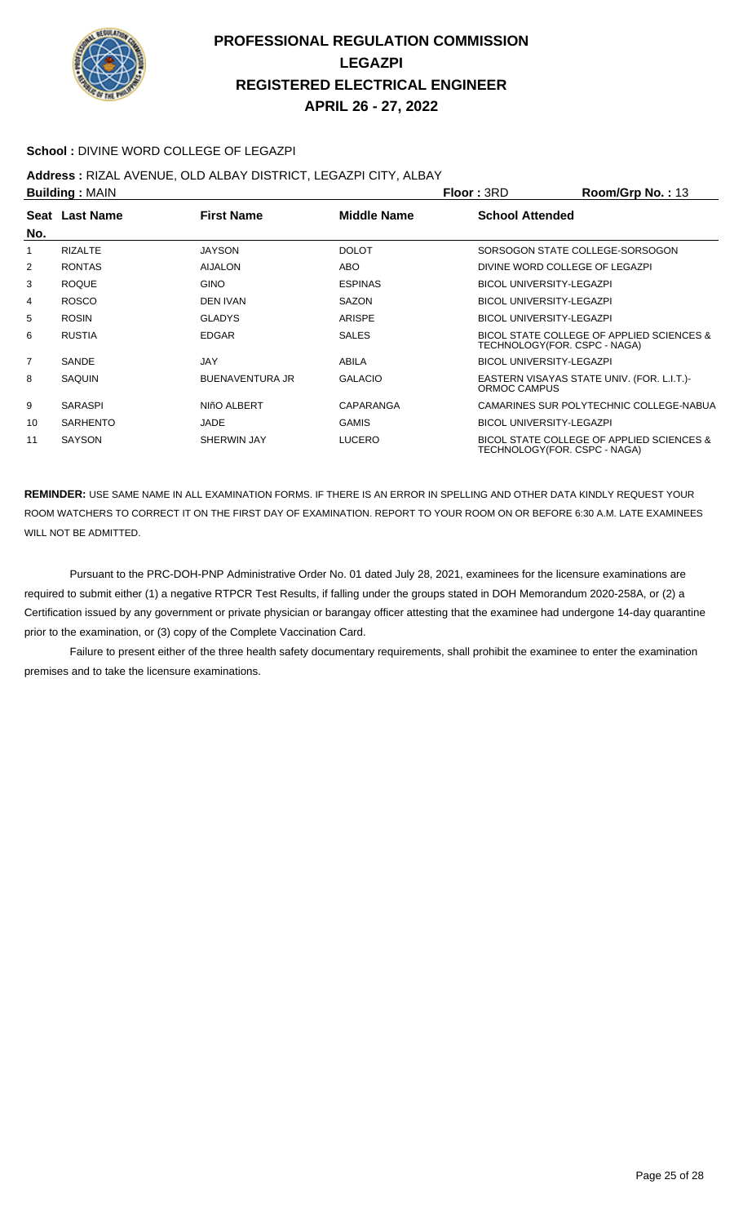

#### **School :** DIVINE WORD COLLEGE OF LEGAZPI

#### **Address :** RIZAL AVENUE, OLD ALBAY DISTRICT, LEGAZPI CITY, ALBAY

| <b>Building: MAIN</b> |                 |                        |                | <b>Floor: 3RD</b>               | Room/Grp No.: 13                                                          |
|-----------------------|-----------------|------------------------|----------------|---------------------------------|---------------------------------------------------------------------------|
| No.                   | Seat Last Name  | <b>First Name</b>      | Middle Name    | <b>School Attended</b>          |                                                                           |
| 1                     | <b>RIZALTE</b>  | <b>JAYSON</b>          | <b>DOLOT</b>   |                                 | SORSOGON STATE COLLEGE-SORSOGON                                           |
| 2                     | <b>RONTAS</b>   | <b>AIJALON</b>         | <b>ABO</b>     |                                 | DIVINE WORD COLLEGE OF LEGAZPI                                            |
| 3                     | <b>ROQUE</b>    | <b>GINO</b>            | <b>ESPINAS</b> | <b>BICOL UNIVERSITY-LEGAZPI</b> |                                                                           |
| 4                     | <b>ROSCO</b>    | <b>DEN IVAN</b>        | <b>SAZON</b>   | <b>BICOL UNIVERSITY-LEGAZPI</b> |                                                                           |
| 5                     | <b>ROSIN</b>    | <b>GLADYS</b>          | <b>ARISPE</b>  | <b>BICOL UNIVERSITY-LEGAZPI</b> |                                                                           |
| 6                     | <b>RUSTIA</b>   | <b>EDGAR</b>           | <b>SALES</b>   |                                 | BICOL STATE COLLEGE OF APPLIED SCIENCES &<br>TECHNOLOGY(FOR. CSPC - NAGA) |
| $\overline{7}$        | <b>SANDE</b>    | JAY                    | ABILA          | <b>BICOL UNIVERSITY-LEGAZPI</b> |                                                                           |
| 8                     | <b>SAQUIN</b>   | <b>BUENAVENTURA JR</b> | <b>GALACIO</b> | ORMOC CAMPUS                    | EASTERN VISAYAS STATE UNIV. (FOR. L.I.T.)-                                |
| 9                     | <b>SARASPI</b>  | NIñO ALBERT            | CAPARANGA      |                                 | CAMARINES SUR POLYTECHNIC COLLEGE-NABUA                                   |
| 10                    | <b>SARHENTO</b> | <b>JADE</b>            | <b>GAMIS</b>   | <b>BICOL UNIVERSITY-LEGAZPI</b> |                                                                           |
| 11                    | <b>SAYSON</b>   | SHERWIN JAY            | <b>LUCERO</b>  |                                 | BICOL STATE COLLEGE OF APPLIED SCIENCES &<br>TECHNOLOGY(FOR. CSPC - NAGA) |

**REMINDER:** USE SAME NAME IN ALL EXAMINATION FORMS. IF THERE IS AN ERROR IN SPELLING AND OTHER DATA KINDLY REQUEST YOUR ROOM WATCHERS TO CORRECT IT ON THE FIRST DAY OF EXAMINATION. REPORT TO YOUR ROOM ON OR BEFORE 6:30 A.M. LATE EXAMINEES WILL NOT BE ADMITTED.

 Pursuant to the PRC-DOH-PNP Administrative Order No. 01 dated July 28, 2021, examinees for the licensure examinations are required to submit either (1) a negative RTPCR Test Results, if falling under the groups stated in DOH Memorandum 2020-258A, or (2) a Certification issued by any government or private physician or barangay officer attesting that the examinee had undergone 14-day quarantine prior to the examination, or (3) copy of the Complete Vaccination Card.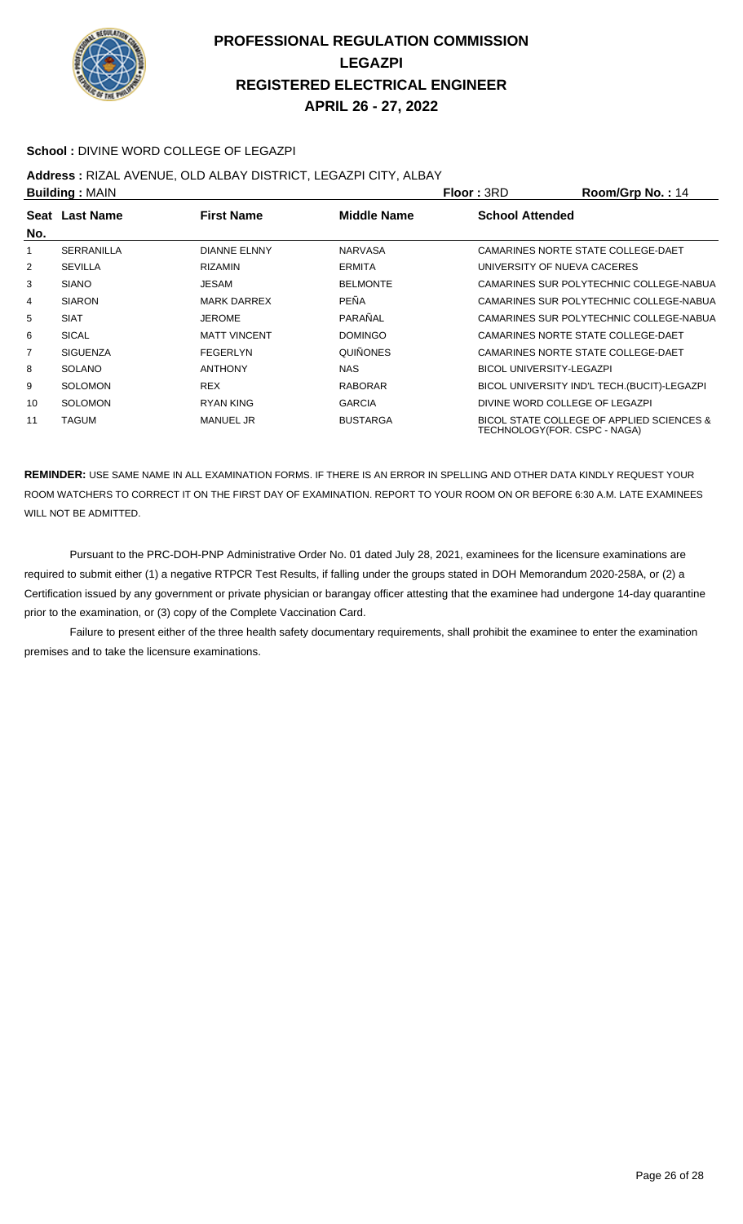

#### **School :** DIVINE WORD COLLEGE OF LEGAZPI

#### **Address :** RIZAL AVENUE, OLD ALBAY DISTRICT, LEGAZPI CITY, ALBAY

| <b>Building: MAIN</b> |                                                    |                     |                 | Floor: 3RD             | Room/Grp No.: 14                                                          |
|-----------------------|----------------------------------------------------|---------------------|-----------------|------------------------|---------------------------------------------------------------------------|
|                       | Middle Name<br><b>First Name</b><br>Seat Last Name |                     |                 | <b>School Attended</b> |                                                                           |
| No.                   |                                                    |                     |                 |                        |                                                                           |
|                       | <b>SERRANILLA</b>                                  | <b>DIANNE ELNNY</b> | <b>NARVASA</b>  |                        | CAMARINES NORTE STATE COLLEGE-DAET                                        |
| 2                     | <b>SEVILLA</b>                                     | <b>RIZAMIN</b>      | <b>ERMITA</b>   |                        | UNIVERSITY OF NUEVA CACERES                                               |
| 3                     | <b>SIANO</b>                                       | JESAM               | <b>BELMONTE</b> |                        | CAMARINES SUR POLYTECHNIC COLLEGE-NABUA                                   |
| 4                     | <b>SIARON</b>                                      | <b>MARK DARREX</b>  | PEÑA            |                        | CAMARINES SUR POLYTECHNIC COLLEGE-NABUA                                   |
| 5                     | <b>SIAT</b>                                        | <b>JEROME</b>       | PARAÑAL         |                        | CAMARINES SUR POLYTECHNIC COLLEGE-NABUA                                   |
| 6                     | <b>SICAL</b>                                       | <b>MATT VINCENT</b> | <b>DOMINGO</b>  |                        | CAMARINES NORTE STATE COLLEGE-DAET                                        |
| $\overline{7}$        | <b>SIGUENZA</b>                                    | <b>FEGERLYN</b>     | <b>QUIÑONES</b> |                        | CAMARINES NORTE STATE COLLEGE-DAET                                        |
| 8                     | <b>SOLANO</b>                                      | <b>ANTHONY</b>      | <b>NAS</b>      |                        | <b>BICOL UNIVERSITY-LEGAZPI</b>                                           |
| 9                     | <b>SOLOMON</b>                                     | <b>REX</b>          | <b>RABORAR</b>  |                        | BICOL UNIVERSITY IND'L TECH. (BUCIT)-LEGAZPI                              |
| 10                    | <b>SOLOMON</b>                                     | <b>RYAN KING</b>    | <b>GARCIA</b>   |                        | DIVINE WORD COLLEGE OF LEGAZPI                                            |
| 11                    | <b>TAGUM</b>                                       | <b>MANUEL JR</b>    | <b>BUSTARGA</b> |                        | BICOL STATE COLLEGE OF APPLIED SCIENCES &<br>TECHNOLOGY(FOR. CSPC - NAGA) |

**REMINDER:** USE SAME NAME IN ALL EXAMINATION FORMS. IF THERE IS AN ERROR IN SPELLING AND OTHER DATA KINDLY REQUEST YOUR ROOM WATCHERS TO CORRECT IT ON THE FIRST DAY OF EXAMINATION. REPORT TO YOUR ROOM ON OR BEFORE 6:30 A.M. LATE EXAMINEES WILL NOT BE ADMITTED.

 Pursuant to the PRC-DOH-PNP Administrative Order No. 01 dated July 28, 2021, examinees for the licensure examinations are required to submit either (1) a negative RTPCR Test Results, if falling under the groups stated in DOH Memorandum 2020-258A, or (2) a Certification issued by any government or private physician or barangay officer attesting that the examinee had undergone 14-day quarantine prior to the examination, or (3) copy of the Complete Vaccination Card.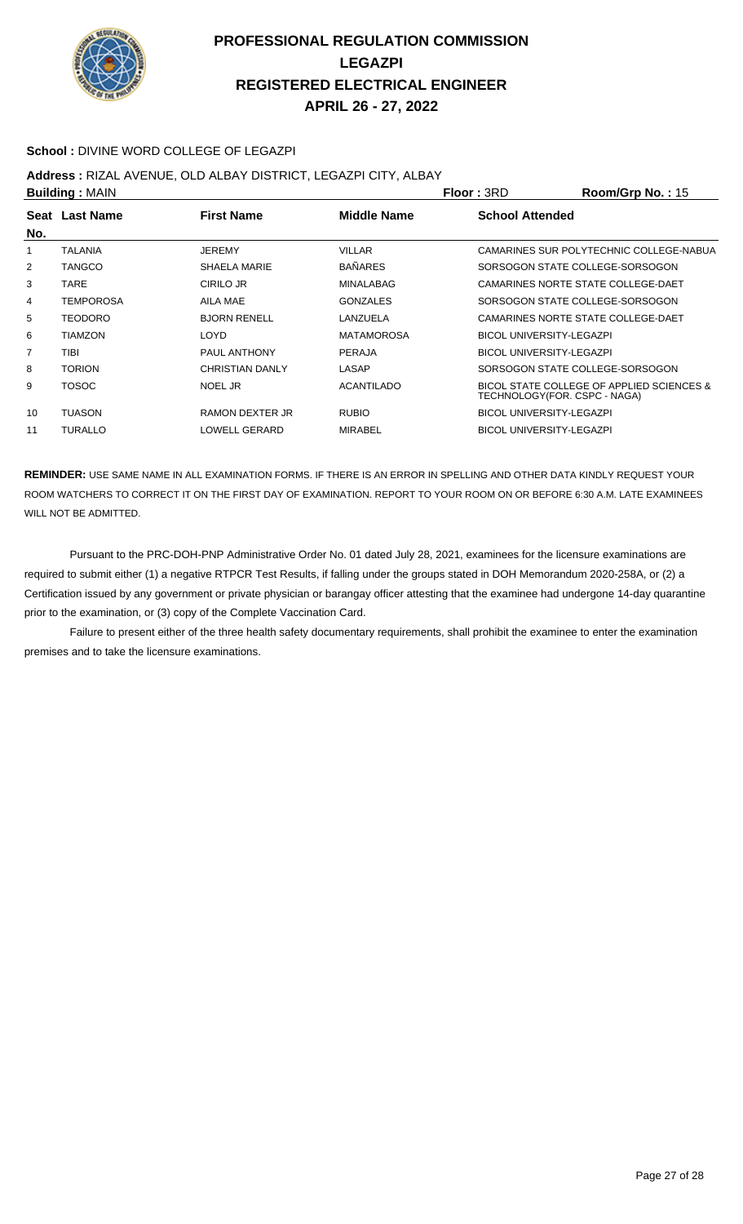

#### **School :** DIVINE WORD COLLEGE OF LEGAZPI

**Address :** RIZAL AVENUE, OLD ALBAY DISTRICT, LEGAZPI CITY, ALBAY

| <b>Building: MAIN</b> |                                                           |                        |                        | <b>Floor: 3RD</b>               | Room/Grp No.: 15                                                          |
|-----------------------|-----------------------------------------------------------|------------------------|------------------------|---------------------------------|---------------------------------------------------------------------------|
|                       | <b>First Name</b><br><b>Middle Name</b><br>Seat Last Name |                        | <b>School Attended</b> |                                 |                                                                           |
| No.                   |                                                           |                        |                        |                                 |                                                                           |
| 1                     | TALANIA                                                   | <b>JEREMY</b>          | <b>VILLAR</b>          |                                 | CAMARINES SUR POLYTECHNIC COLLEGE-NABUA                                   |
| 2                     | <b>TANGCO</b>                                             | SHAELA MARIE           | <b>BAÑARES</b>         |                                 | SORSOGON STATE COLLEGE-SORSOGON                                           |
| 3                     | TARE                                                      | CIRILO JR              | MINALABAG              |                                 | CAMARINES NORTE STATE COLLEGE-DAET                                        |
| 4                     | <b>TEMPOROSA</b>                                          | AILA MAE               | <b>GONZALES</b>        |                                 | SORSOGON STATE COLLEGE-SORSOGON                                           |
| 5                     | <b>TEODORO</b>                                            | <b>BJORN RENELL</b>    | LANZUELA               |                                 | CAMARINES NORTE STATE COLLEGE-DAET                                        |
| 6                     | TIAMZON                                                   | LOYD                   | <b>MATAMOROSA</b>      | <b>BICOL UNIVERSITY-LEGAZPI</b> |                                                                           |
| 7                     | TIBI                                                      | PAUL ANTHONY           | PERAJA                 | <b>BICOL UNIVERSITY-LEGAZPI</b> |                                                                           |
| 8                     | <b>TORION</b>                                             | <b>CHRISTIAN DANLY</b> | LASAP                  |                                 | SORSOGON STATE COLLEGE-SORSOGON                                           |
| 9                     | TOSOC                                                     | NOEL JR                | <b>ACANTILADO</b>      |                                 | BICOL STATE COLLEGE OF APPLIED SCIENCES &<br>TECHNOLOGY(FOR. CSPC - NAGA) |
| 10                    | <b>TUASON</b>                                             | RAMON DEXTER JR        | <b>RUBIO</b>           | <b>BICOL UNIVERSITY-LEGAZPI</b> |                                                                           |
| 11                    | <b>TURALLO</b>                                            | LOWELL GERARD          | <b>MIRABEL</b>         | <b>BICOL UNIVERSITY-LEGAZPI</b> |                                                                           |
|                       |                                                           |                        |                        |                                 |                                                                           |

**REMINDER:** USE SAME NAME IN ALL EXAMINATION FORMS. IF THERE IS AN ERROR IN SPELLING AND OTHER DATA KINDLY REQUEST YOUR ROOM WATCHERS TO CORRECT IT ON THE FIRST DAY OF EXAMINATION. REPORT TO YOUR ROOM ON OR BEFORE 6:30 A.M. LATE EXAMINEES WILL NOT BE ADMITTED.

 Pursuant to the PRC-DOH-PNP Administrative Order No. 01 dated July 28, 2021, examinees for the licensure examinations are required to submit either (1) a negative RTPCR Test Results, if falling under the groups stated in DOH Memorandum 2020-258A, or (2) a Certification issued by any government or private physician or barangay officer attesting that the examinee had undergone 14-day quarantine prior to the examination, or (3) copy of the Complete Vaccination Card.